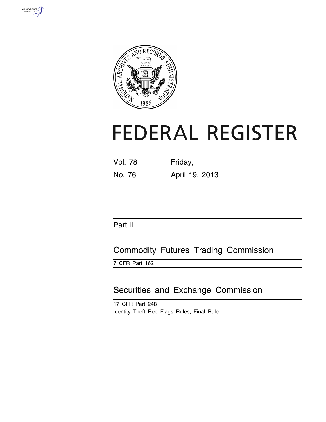



# **FEDERAL REGISTER**

| <b>Vol. 78</b> | Friday, |
|----------------|---------|
|                |         |

No. 76 April 19, 2013

# Part II

Commodity Futures Trading Commission

7 CFR Part 162

# Securities and Exchange Commission

17 CFR Part 248

Identity Theft Red Flags Rules; Final Rule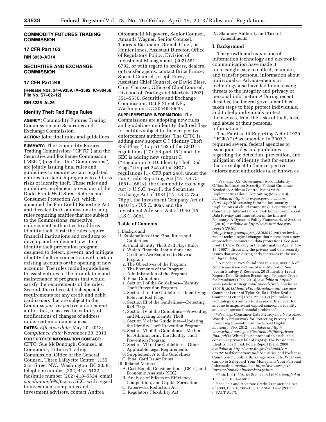# **COMMODITY FUTURES TRADING COMMISSION**

# **17 CFR Part 162**

**RIN 3038–AD14** 

# **SECURITIES AND EXCHANGE COMMISSION**

# **17 CFR Part 248**

**[Release Nos. 34–69359, IA–3582, IC–30456; File No. S7–02–12]** 

# **RIN 3235–AL26**

#### **Identity Theft Red Flags Rules**

**AGENCY:** Commodity Futures Trading Commission and Securities and Exchange Commission. **ACTION:** Joint final rules and guidelines.

**SUMMARY:** The Commodity Futures Trading Commission (''CFTC'') and the Securities and Exchange Commission (''SEC'') (together, the ''Commissions'') are jointly issuing final rules and guidelines to require certain regulated entities to establish programs to address risks of identity theft. These rules and guidelines implement provisions of the Dodd-Frank Wall Street Reform and Consumer Protection Act, which amended the Fair Credit Reporting Act and directed the Commissions to adopt rules requiring entities that are subject to the Commissions' respective enforcement authorities to address identity theft. First, the rules require financial institutions and creditors to develop and implement a written identity theft prevention program designed to detect, prevent, and mitigate identity theft in connection with certain existing accounts or the opening of new accounts. The rules include guidelines to assist entities in the formulation and maintenance of programs that would satisfy the requirements of the rules. Second, the rules establish special requirements for any credit and debit card issuers that are subject to the Commissions' respective enforcement authorities, to assess the validity of notifications of changes of address under certain circumstances.

**DATES:** *Effective date:* May 20, 2013; *Compliance date:* November 20, 2013.

#### **FOR FURTHER INFORMATION CONTACT:**

CFTC: Sue McDonough, Counsel, at Commodity Futures Trading Commission, Office of the General Counsel, Three Lafayette Centre, 1155 21st Street NW., Washington, DC 20581, telephone number (202) 418–5132, facsimile number (202) 418–5524, email *[smcdonough@cftc.gov;](mailto:smcdonough@cftc.gov)* SEC: with regard to investment companies and investment advisers, contact Andrea

Ottomanelli Magovern, Senior Counsel, Amanda Wagner, Senior Counsel, Thoreau Bartmann, Branch Chief, or Hunter Jones, Assistant Director, Office of Regulatory Policy, Division of Investment Management, (202) 551– 6792, or with regard to brokers, dealers, or transfer agents, contact Brice Prince, Special Counsel, Joseph Furey, Assistant Chief Counsel, or David Blass, Chief Counsel, Office of Chief Counsel, Division of Trading and Markets, (202) 551–5550, Securities and Exchange Commission, 100 F Street NE., Washington, DC 20549–8549.

**SUPPLEMENTARY INFORMATION:** The Commissions are adopting new rules and guidelines on identity theft red flags for entities subject to their respective enforcement authorities. The CFTC is adding new subpart C (''Identity Theft Red Flags'') to part 162 of the CFTC's regulations [17 CFR part 162] and the SEC is adding new subpart C (''Regulation S–ID: Identity Theft Red Flags'') to part 248 of the SEC's regulations [17 CFR part 248], under the Fair Credit Reporting Act [15 U.S.C. 1681–1681x], the Commodity Exchange Act [7 U.S.C. 1–27f], the Securities Exchange Act of 1934 [15 U.S.C. 78a– 78pp], the Investment Company Act of 1940 [15 U.S.C. 80a], and the Investment Advisers Act of 1940 [15 U.S.C. 80b].

# **Table of Contents**

#### I. Background

- II. Explanation of the Final Rules and Guidelines
	- A. Final Identity Theft Red Flags Rules
	- 1. Which Financial Institutions and Creditors Are Required to Have a Program
	- 2. The Objectives of the Program
- 3. The Elements of the Program
- 4. Administration of the Program
- B. Final Guidelines
- 1. Section I of the Guidelines—Identity Theft Prevention Program
- 2. Section II of the Guidelines—Identifying Relevant Red Flags
- 3. Section III of the Guidelines—Detecting Red Flags
- 4. Section IV of the Guidelines—Preventing and Mitigating Identity Theft
- 5. Section V of the Guidelines—Updating the Identity Theft Prevention Program
- 6. Section VI of the Guidelines—Methods for Administering the Identity Theft Prevention Program
- 7. Section VII of the Guidelines—Other Applicable Legal Requirements
- 8. Supplement A to the Guidelines
- C. Final Card Issuer Rules
- III. Related Matters
	- A. Cost-Benefit Considerations (CFTC) and Economic Analysis (SEC)
	- B. Analysis of Effects on Efficiency, Competition, and Capital Formation
- C. Paperwork Reduction Act
- D. Regulatory Flexibility Act

IV. Statutory Authority and Text of Amendments

# **I. Background**

The growth and expansion of information technology and electronic communication have made it increasingly easy to collect, maintain, and transfer personal information about individuals.1 Advancements in technology also have led to increasing threats to the integrity and privacy of personal information.2 During recent decades, the federal government has taken steps to help protect individuals, and to help individuals protect themselves, from the risks of theft, loss, and abuse of their personal information.3

The Fair Credit Reporting Act of 1970  $("FCRA")$ , 4 as amended in 2003, 5 required several federal agencies to issue joint rules and guidelines regarding the detection, prevention, and mitigation of identity theft for entities that are subject to their respective enforcement authorities (also known as

*iptf*\_*privacy*\_*greenpaper*\_*[12162010.pdf](http://www.ntia.doc.gov/reports/2010/iptf_privacy_greenpaper_12162010.pdf)* (reviewing recent technological changes that necessitate a new approach to commercial data protection). *See also*  Fred H. Cate, Privacy in the Information Age, at 13– 16 (1997) (discussing the privacy and data security issues that arose during early increases in the use of digital data).

2A recent survey found that in 2012, over 5% of Americans were victims of identity fraud. *See*  Javelin Strategy & Research, 2013 Identity Fraud Report: Data Breaches Becoming a Treasure Trove for Fraudsters (Feb. 2013), *available at [https://](https://www.javelinstrategy.com/uploads/web_brochure/1303.R_2013IdentityFraudBrochure.pdf) [www.javelinstrategy.com/uploads/web](https://www.javelinstrategy.com/uploads/web_brochure/1303.R_2013IdentityFraudBrochure.pdf)*\_*brochure/ 1303.R*\_*[2013IdentityFraudBrochure.pdf;](https://www.javelinstrategy.com/uploads/web_brochure/1303.R_2013IdentityFraudBrochure.pdf) see also*  Comment Letter of Tyler Krulla (''Tyler Krulla Comment Letter'') (Apr. 27, 2012) (''In today's technology driven world it is easier than ever for anyone to acquire and exploit someone's identity and cause severe financial problems.'').

3*See, e.g.,* Consumer Data Privacy in a Networked World: A Framework for Protecting Privacy and Promoting Innovation in the Global Digital Economy (Feb. 2012), *available at [http://](http://www.whitehouse.gov/sites/default/files/privacy-final.pdf)  [www.whitehouse.gov/sites/default/files/privacy](http://www.whitehouse.gov/sites/default/files/privacy-final.pdf)[final.pdf](http://www.whitehouse.gov/sites/default/files/privacy-final.pdf)* (a White House proposal to establish a consumer privacy bill of rights); The President's Identity Theft Task Force Report (Sept. 2008), *available at [http://www.ftc.gov/os/2008/10/](http://www.ftc.gov/os/2008/10/081021taskforcereport.pdf) [081021taskforcereport.pdf;](http://www.ftc.gov/os/2008/10/081021taskforcereport.pdf)* Securities and Exchange Commission, Online Brokerage Accounts: What you can do to Safeguard Your Money and Your Personal Information, *available at [http://www.sec.gov/](http://www.sec.gov/investor/pubs/onlinebrokerage.htm)  [investor/pubs/onlinebrokerage.htm.](http://www.sec.gov/investor/pubs/onlinebrokerage.htm)* 

4Pub. L. 91–508, 84 Stat. 1114 (1970), *codified at*  15 U.S.C. 1681–1681x.

5*See* Fair and Accurate Credit Transactions Act of 2003, Pub. L. 108–159, 117 Stat. 1952 (2003) (''FACT Act'').

<sup>1</sup>*See, e.g.,* U.S. Government Accountability Office, Information Security: Federal Guidance Needed to Address Control Issues with Implementing Cloud Computing (May 2010), *available at [http://www.gao.gov/new.items/](http://www.gao.gov/new.items/d10513.pdf)  [d10513.pdf](http://www.gao.gov/new.items/d10513.pdf)* (discussing information security implications of cloud computing); Department of Commerce, Internet Policy Task Force, Commercial Data Privacy and Innovation in the Internet Economy: A Dynamic Policy Framework, at Section I (2010), *available at [http://www.ntia.doc.gov/](http://www.ntia.doc.gov/reports/2010/iptf_privacy_greenpaper_12162010.pdf) [reports/2010/](http://www.ntia.doc.gov/reports/2010/iptf_privacy_greenpaper_12162010.pdf)*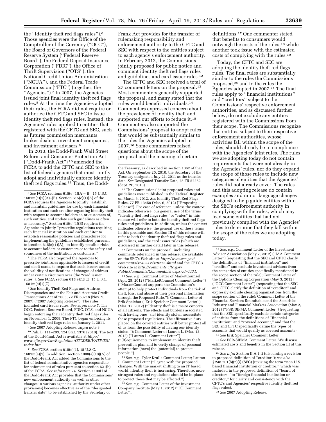the ''identity theft red flags rules'').6 Those agencies were the Office of the Comptroller of the Currency (''OCC''), the Board of Governors of the Federal Reserve System (''Federal Reserve Board''), the Federal Deposit Insurance Corporation (''FDIC''), the Office of Thrift Supervision (''OTS''), the National Credit Union Administration (''NCUA''), and the Federal Trade Commission (''FTC'') (together, the ''Agencies'').7 In 2007, the Agencies issued joint final identity theft red flags rules.8 At the time the Agencies adopted their rules, the FCRA did not require or authorize the CFTC and SEC to issue identity theft red flags rules. Instead, the Agencies' rules applied to entities that registered with the CFTC and SEC, such as futures commission merchants, broker-dealers, investment companies, and investment advisers.9

In 2010, the Dodd-Frank Wall Street Reform and Consumer Protection Act (''Dodd-Frank Act'') 10 amended the FCRA to add the CFTC and SEC to the list of federal agencies that must jointly adopt and individually enforce identity theft red flags rules.11 Thus, the Dodd-

7The FCRA also required the Agencies to prescribe joint rules applicable to issuers of credit and debit cards, to require that such issuers assess the validity of notifications of changes of address under certain circumstances (the ''card issuer rules''). *See* FCRA section 615(e)(1)(C), 15 U.S.C. 1681m(e)(1)(C).

8*See* Identity Theft Red Flags and Address Discrepancies under the Fair and Accurate Credit Transactions Act of 2003, 72 FR 63718 (Nov. 9, 2007) (''2007 Adopting Release''). The rules included card issuer rules. *See supra* note 7. The OCC, Federal Reserve Board, FDIC, OTS, and NCUA began enforcing their identity theft red flags rules on November 1, 2008. The FTC began enforcing its identity theft red flags rules on January 1, 2011.

9*See* 2007 Adopting Release, *supra* note 8.

10Pub. L. 111–203, 124 Stat. 1376 (2010). The text of the Dodd-Frank Act is available at *[http://](http://www.cftc.gov/LawRegulation/OTCDERIVATIVES/index.htm) [www.cftc.gov/LawRegulation/OTCDERIVATIVES/](http://www.cftc.gov/LawRegulation/OTCDERIVATIVES/index.htm)  [index.htm.](http://www.cftc.gov/LawRegulation/OTCDERIVATIVES/index.htm)* 

11*See* FCRA section 615(e)(1), 15 U.S.C. 1681m(e)(1). In addition, section 1088(a)(10)(A) of the Dodd-Frank Act added the Commissions to the list of federal administrative agencies responsible for enforcement of rules pursuant to section 621(b) of the FCRA. *See infra* note 24. Section 1100H of the Dodd-Frank Act provides that the Commissions' new enforcement authority (as well as other changes in various agencies' authority under other provisions) becomes effective as of the ''designated transfer date'' to be established by the Secretary of

Frank Act provides for the transfer of rulemaking responsibility and enforcement authority to the CFTC and SEC with respect to the entities subject to each agency's enforcement authority. In February 2012, the Commissions jointly proposed for public notice and comment identity theft red flags rules and guidelines and card issuer rules.12

The CFTC and SEC received a total of 27 comment letters on the proposal.13 Most commenters generally supported the proposal, and many stated that the rules would benefit individuals.14 Commenters expressed concern about the prevalence of identity theft and supported our efforts to reduce it.15 Commenters also supported the Commissions' proposal to adopt rules that would be substantially similar to the rules the Agencies adopted in 2007.16 Some commenters raised questions about the scope of the proposal and the meaning of certain

12The Commissions' joint proposed rules and guidelines were published in the **Federal Register**  on March 6, 2012. *See* Identity Theft Red Flags Rules, 77 FR 13450 (Mar. 6, 2012) (''Proposing Release''). For ease of reference, unless the context indicates otherwise, our general use of the terms ''identity theft red flags rules'' or ''rules'' in this release will refer to both the identity theft red flags rules and guidelines. In addition, unless the context indicates otherwise, the general use of these terms in this preamble and Section III of this release will refer to both the identity theft red flags rules and guidelines, and the card issuer rules (which are discussed in further detail later in this release).

13Comments on the proposal, including comments referenced in this release, are available on the SEC's Web site at *[http://www.sec.gov/](http://www.sec.gov/comments/s7-02-12/s70212.shtml)  [comments/s7-02-12/s70212.shtml](http://www.sec.gov/comments/s7-02-12/s70212.shtml)* and the CFTC's Web site at *[http://comments.cftc.gov/](http://comments.cftc.gov/PublicComments/CommentList.aspx?id=1171) [PublicComments/CommentList.aspx?id=1171.](http://comments.cftc.gov/PublicComments/CommentList.aspx?id=1171)* 

14*See, e.g.,* Comment Letter of MarketCounsel (Apr. 25, 2012) (''MarketCounsel Comment Letter'') (''MarketCounsel supports the Commission's attempt to help protect individuals from the risk of theft, loss, and abuse of their personal information through the Proposed Rule.''); Comment Letter of Erik Speicher (''Erik Speicher Comment Letter'') (Mar. 17, 2012) (''Identity theft is a major concern of all citizens. The effects and burdens associated with having ones [sic] identity stolen necessitate these proposed regulations. The affirmative duty placed on the covered entities will better protect all of us from the possibility of having our identity stolen.''); Comment Letter of Lauren L. (Mar. 12, 2012) (''Lauren L. Comment Letter'') (''[R]equirements to implement an identity theft prevention plan and to verify change of personal information [have] the [potential] to protect people.'').

15*See, e.g.,* Tyler Krulla Comment Letter; Lauren L. Comment Letter (''I agree with the proposed changes. With the market shifting to an IT based world, identity theft is increasing. Therefore, more stringent rules and regulations should be in place to protect those that may be affected.'').

16*See, e.g.,* Comment Letter of the Investment Company Institute (May 1, 2012) (''ICI Comment Letter").

definitions.17 One commenter stated that benefits to consumers would outweigh the costs of the rules,18 while another took issue with the estimated costs of complying with the rules.19

Today, the CFTC and SEC are adopting the identity theft red flags rules. The final rules are substantially similar to the rules the Commissions proposed,20 and to the rules the Agencies adopted in 2007.21 The final rules apply to ''financial institutions'' and ''creditors'' subject to the Commissions' respective enforcement authorities, and as discussed further below, do not exclude any entities registered with the Commissions from their scope. The Commissions recognize that entities subject to their respective enforcement authorities, whose activities fall within the scope of the rules, should already be in compliance with the Agencies' joint rules. The rules we are adopting today do not contain requirements that were not already in the Agencies' rules, nor do they expand the scope of those rules to include new categories of entities that the Agencies' rules did not already cover. The rules and this adopting release do contain examples and minor language changes designed to help guide entities within the SEC's enforcement authority in complying with the rules, which may lead some entities that had not previously complied with the Agencies' rules to determine that they fall within the scope of the rules we are adopting today.

18*See* Erik Speicher Comment Letter.

19*See* FSR/SIFMA Comment Letter. We discuss estimated costs and benefits in the Section III of this release.

20*See infra* Section II.A.1.ii (discussing a revision to proposed definition of ''creditor''); *see also*  § 248.201(b)(2)(i) (SEC) (revising the term "non U.S. based financial institution or creditor,'' which was included in the proposed definition of ''board of directors,'' to ''foreign financial institution or creditor,'' for clarity and consistency with the CFTC's and Agencies' respective identity theft red flags rules).

21*See* 2007 Adopting Release.

<sup>6</sup>*See* FCRA sections 615(e)(1)(A)–(B), 15 U.S.C. 1681m(e)(1)(A)–(B). Section 615(e)(1)(A) of the FCRA requires the Agencies to jointly ''establish and maintain guidelines for use by each financial institution and each creditor regarding identity theft with respect to account holders at, or customers of, such entities, and update such guidelines as often as necessary." Section  $615(e)(1)(B)$  requires the Agencies to jointly ''prescribe regulations requiring each financial institution and each creditor to establish reasonable policies and procedures for implementing the guidelines established pursuant to [section  $615(e)(1)(A)$ ], to identify possible risks to account holders or customers or to the safety and soundness of the institution or customers.

the Treasury, as described in section 1062 of that Act. On September 20, 2010, the Secretary of the Treasury designated July 21, 2011 as the transfer date. *See* Designated Transfer Date, 75 FR 57252 (Sept. 20, 2010).

<sup>17</sup>*See, e.g.,* Comment Letter of the Investment Adviser Association (May 7, 2012) (''IAA Comment Letter'') (requesting that the SEC and CFTC clarify the definitions of ''financial institution'' and ''creditor'' and exclude investment advisers from the categories of entities specifically mentioned in the scope section of the rule); Comment Letter of the Options Clearing Corporation (May 3, 2012) (''OCC Comment Letter'') (requesting that the SEC and CFTC clarify the definition of ''creditor'' and expressly exclude clearing organizations from the scope section of the rule); Comment Letter of the Financial Services Roundtable and the Securities Industry and Financial Markets Association (May 2, 2012) (''FSR/SIFMA Comment Letter'') (requesting that the SEC specifically exclude certain categories of entities from the definitions of ''financial institution'' and ''covered account,'' and that the SEC and CFTC specifically define the types of accounts that would qualify as covered accounts).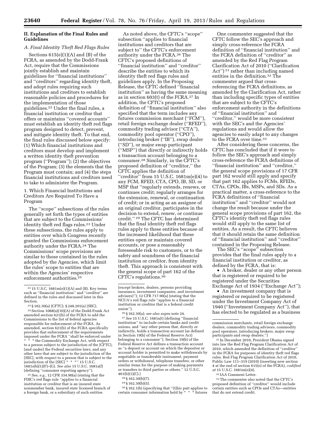# **II. Explanation of the Final Rules and Guidelines**  *A. Final Identity Theft Red Flags Rules*

Sections  $615(e)(1)(A)$  and  $(B)$  of the FCRA, as amended by the Dodd-Frank Act, require that the Commissions jointly establish and maintain guidelines for ''financial institutions'' and ''creditors'' regarding identity theft, and adopt rules requiring such institutions and creditors to establish reasonable policies and procedures for the implementation of those guidelines.22 Under the final rules, a financial institution or creditor that offers or maintains ''covered accounts'' must establish an identity theft red flags program designed to detect, prevent, and mitigate identity theft. To that end, the final rules discussed below specify: (1) Which financial institutions and creditors must develop and implement a written identity theft prevention program (''Program''); (2) the objectives of the Program; (3) the elements that the Program must contain; and (4) the steps financial institutions and creditors need to take to administer the Program.

1. Which Financial Institutions and Creditors Are Required To Have a Program

The ''scope'' subsections of the rules generally set forth the types of entities that are subject to the Commissions' identity theft red flags rules.23 Under these subsections, the rules apply to entities over which Congress recently granted the Commissions enforcement authority under the FCRA.24 The Commissions' scope provisions are similar to those contained in the rules adopted by the Agencies, which limit the rules' scope to entities that are within the Agencies' respective enforcement authorities.25

23 § 162.30(a) (CFTC); § 248.201(a) (SEC).

24Section 1088(a)(10)(A) of the Dodd-Frank Act amended section 621(b) of the FCRA to add the Commissions to the list of federal agencies responsible for enforcement of the FCRA. As amended, section 621(b) of the FCRA specifically provides that enforcement of the requirements imposed under the FCRA ''shall be enforced under \* the Commodity Exchange Act, with respect to a person subject to the jurisdiction of the [CFTC]; [and under] the Federal securities laws, and any other laws that are subject to the jurisdiction of the [SEC], with respect to a person that is subject to the jurisdiction of the [SEC] \* \* \*'' 15 U.S.C. 1681s(b)(1)(F)–(G). *See also* 15 U.S.C. 1681a(f) (defining ''consumer reporting agency'').

25*See, e.g.,* 12 CFR 334.90(a) (stating that the FDIC's red flags rule ''applies to a financial institution or creditor that is an insured state nonmember bank, insured state licensed branch of a foreign bank, or a subsidiary of such entities

As noted above, the CFTC's ''scope'' subsection ''applies to financial institutions and creditors that are subject to'' the CFTC's enforcement authority under the FCRA.26 The CFTC's proposed definitions of ''financial institution'' and ''creditor'' describe the entities to which its identity theft red flags rules and guidelines apply. In the Proposing Release, the CFTC defined ''financial institution'' as having the same meaning as in section 603(t) of the FCRA.27 In addition, the CFTC's proposed definition of ''financial institution'' also specified that the term includes any futures commission merchant (''FCM''), retail foreign exchange dealer (''RFED''), commodity trading advisor (''CTA''), commodity pool operator (''CPO''), introducing broker (''IB''), swap dealer (''SD''), or major swap participant (''MSP'') that directly or indirectly holds a transaction account belonging to a consumer.28 Similarly, in the CFTC's proposed definition of ''creditor,'' the CFTC applies the definition of "creditor" from  $15$  U.S.C.  $1681m(e)(4)$  to any FCM, RFED, CTA, CPO, IB, SD, or MSP that ''regularly extends, renews, or continues credit; regularly arranges for the extension, renewal, or continuation of credit; or in acting as an assignee of an original creditor, participates in the decision to extend, renew, or continue credit.'' 29 The CFTC has determined that the final identity theft red flags rules apply to these entities because of the increased likelihood that these entities open or maintain covered accounts, or pose a reasonably foreseeable risk to customers, or to the safety and soundness of the financial institution or creditor, from identity theft. This approach is consistent with the general scope of part 162 of the CFTC's regulations.30

26 § 162.30(a); *see also supra* note 24.

27*See* 15 U.S.C. 1681a(t) (defining ''financial institution'' to include certain banks and credit unions, and ''any other person that, directly or indirectly, holds a transaction account (as defined in Section 19(b) of the Federal Reserve Act) belonging to a consumer''). Section 19(b) of the Federal Reserve Act defines a transaction account as ''a deposit or account on which the depositor or account holder is permitted to make withdrawals by negotiable or transferable instrument, payment orders or withdrawal, telephone transfers, or other similar items for the purpose of making payments or transfers to third parties or others.'' 12 U.S.C. 461(b)(1)(C).)

30 § 162.1(b) (specifying that ''[t]his part applies to certain consumer information held by \* \* \* futures

One commenter suggested that the CFTC follow the SEC's approach and simply cross-reference the FCRA definition of ''financial institution'' and the FCRA definition of ''creditor'' as amended by the Red Flag Program Clarification Act of 2010 (''Clarification Act'') 31 rather than including named entities in the definition.32 The commenter argued that crossreferencing the FCRA definitions, as amended by the Clarification Act, rather than including specific types of entities that are subject to the CFTC's enforcement authority in the definitions of ''financial institution'' and "creditor," would be more consistent with the SEC's and the Agencies' regulations and would allow the agencies to easily adapt to any changes to the FCRA over time.<sup>33</sup>

After considering these concerns, the CFTC has concluded that if it were to follow the SEC's approach and simply cross-reference the FCRA definitions of ''financial institution'' and ''creditor,'' the general scope provisions of 17 CFR part 162 would still apply and specify that part 162 applies to FCMs, RFEDs, CTAs, CPOs, IBs, MSPs, and SDs. As a practical matter, a cross-reference to the FCRA definitions of ''financial institution'' and ''creditor'' would not change the result because under the general scope provisions of part 162, the CFTC's identity theft red flags rules would still apply to the same list of entities. As a result, the CFTC believes that it should retain the same definition of ''financial institution'' and ''creditor'' contained in the Proposing Release.

The SEC's ''scope'' subsection provides that the final rules apply to a financial institution or creditor, as defined by the FCRA, that is:

• A broker, dealer or any other person that is registered or required to be registered under the Securities Exchange Act of 1934 (''Exchange Act'');

• An investment company that is registered or required to be registered under the Investment Company Act of 1940 (''Investment Company Act''), that has elected to be regulated as a business

31 In December 2010, President Obama signed into law the Red Flag Program Clarification Act of 2010, which amended the definition of ''creditor'' in the FCRA for purposes of identity theft red flags rules. Red Flag Program Clarification Act of 2010, Public Law 111–319 (2010) (inserting new section 4 at the end of section 615(e) of the FCRA), *codified at* 15 U.S.C. 1681m(e)(4).

32 IAA Comment Letter.

33The commenter also noted that the CFTC's proposed definition of ''creditor'' would include certain entities such as CPOs and CTAs—entities that do not extend credit.

 $22 15$  U.S.C.  $1681m(e)(1)(A)$  and (B). Key terms such as ''financial institution'' and ''creditor'' are defined in the rules and discussed later in this Section.

<sup>(</sup>except brokers, dealers, persons providing insurance, investment companies, and investment advisers)''); 12 CFR 717.90(a) (stating that the NCUA's red flags rule ''applies to a financial institution or creditor that is a federal credit union'').

<sup>28</sup> § 162.30(b)(7).

<sup>29</sup> § 162.30(b)(5).

commission merchants, retail foreign exchange dealers, commodity trading advisors, commodity pool operators, introducing brokers, major swap participants and swap dealers.'')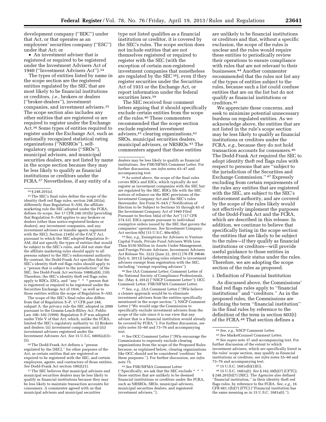development company (''BDC'') under that Act, or that operates as an employees' securities company (''ESC'') under that Act; or

• An investment adviser that is registered or required to be registered under the Investment Advisers Act of 1940 (''Investment Advisers Act'').34

The types of entities listed by name in the scope section are the registered entities regulated by the SEC that are most likely to be financial institutions or creditors, *i.e.,* brokers or dealers (''broker-dealers''), investment companies, and investment advisers.35 The scope section also includes any other entities that are registered or are required to register under the Exchange Act.36 Some types of entities required to register under the Exchange Act, such as nationally recognized statistical rating organizations (''NRSROs''), selfregulatory organizations (''SROs''), municipal advisors, and municipal securities dealers, are not listed by name in the scope section because they may be less likely to qualify as financial institutions or creditors under the FCRA.37 Nevertheless, if any entity of a

35The SEC's final rules define the scope of the identity theft red flags rules, section 248.201(a), differently than Regulation S–AM, the affiliate marketing rule the SEC adopted under the FCRA, defines its scope. *See* 17 CFR 248.101(b) (providing that Regulation S–AM applies to any brokers or dealers (other than notice-registered brokers or dealers), any investment companies, and any investment advisers or transfer agents registered with the SEC). Section 214(b) of the FACT Act, pursuant to which the SEC adopted Regulation S– AM, did not specify the types of entities that would be subject to the SEC's rules, and did not state that the affiliate marketing rules should apply to all persons subject to the SEC's enforcement authority. By contrast, the Dodd-Frank Act specifies that the SEC's identity theft red flags rules should apply to a ''person that is subject to the jurisdiction'' of the SEC. *See* Dodd-Frank Act sections 1088(a)(8), (10). Therefore, the SEC's identity theft red flags rules apply to BDCs, ESCs, and ''any \* \* \* person that is registered or required to be registered under the Securities Exchange Act of 1934,'' as well as to those entities within the scope of Regulation S–AM.

The scope of the SEC's final rules also differs from that of Regulation S–P, 17 CFR part 248, subpart A, the privacy rule the SEC adopted in 2000 pursuant to the Gramm-Leach-Bliley Act. Public Law 106–102 (1999). Regulation S–P was adopted under Title V of that Act, which, unlike the FCRA, limited the SEC's regulatory authority to: (i) Brokers and dealers; (ii) investment companies; and (iii) investment advisers registered under the Investment Advisers Act. *See* 15 U.S.C. 6805(a)(3)– (5).

36The Dodd-Frank Act defines a ''person regulated by the [SEC],'' for other purposes of the Act, as certain entities that are registered or required to be registered with the SEC, and certain employees, agents, and contractors of those entities. *See* Dodd-Frank Act section 1002(21).

<sup>37</sup>The SEC believes that municipal advisors and municipal securities dealers may be less likely to qualify as financial institutions because they may be less likely to maintain transaction accounts for consumers. A commenter agreed with us that municipal advisors and municipal securities

type not listed qualifies as a financial institution or creditor, it is covered by the SEC's rules. The scope section does not include entities that are not themselves registered or required to register with the SEC (with the exception of certain non-registered investment companies that nonetheless are regulated by the SEC 38), even if they register securities under the Securities Act of 1933 or the Exchange Act, or report information under the federal securities laws.39

The SEC received four comment letters arguing that it should specifically exclude certain entities from the scope of the rules.40 These commenters recommended that the scope section exclude registered investment advisers,41 clearing organizations,42 SROs, municipal securities dealers, municipal advisors, or NRSROs.43 The commenters argued that these entities

38As noted above, the scope of the final rules covers BDCs and ESCs, which typically do not register as investment companies with the SEC but are regulated by the SEC. BDCs file with the SEC notices of reliance on the BDC provisions of the Investment Company Act and the SEC's rules thereunder. *See* Form N–54A (''Notification of Election to be Subject to Sections 55 through 65 of the Investment Company Act of 1940 Filed Pursuant to Section 54(a) of the Act'') [17 CFR 274.53]. ESCs operate pursuant to individual exemptive orders issued by the SEC that govern the companies' operations. *See* Investment Company Act section 6(b) [15 U.S.C. 80a-6(b)].

39*See, e.g.,* Exemptions for Advisers to Venture Capital Funds, Private Fund Advisers With Less Than \$150 Million in Assets Under Management, and Foreign Private Advisers, Investment Advisers Act Release No. 3222 (June 22, 2011) [76 FR 39646 (July 6, 2011)] (adopting rules related to investment advisers exempt from registration with the SEC, including ''exempt reporting advisers'').

40*See* IAA Comment Letter; Comment Letter of the National Society of Compliance Professionals, Inc. (May 4, 2012) (''NSCP Comment Letter''); OCC Comment Letter; FSR/SIFMA Comment Letter.

41*See, e.g.,* IAA Comment Letter (''[W]e believe a cleaner approach would be to eliminate investment advisers from the entities specifically mentioned in the scope section.''); NSCP Comment Letter (''We would urge the Commission to specifically exclude investment advisers from the scope of the rule since it is our view that any adviser that is a financial institution would already be covered by FCRA.''). For further discussion, *see infra* notes 55–60 and 73–76 and accompanying text.

42*See* OCC Comment Letter (''[W]e encourage the Commissions to expressly exclude clearing organizations from the scope of the Proposed Rules because, as explained below, clearing organizations like OCC should not be considered 'creditors' for these purposes.''). For further discussion, *see infra*  note 75.

43*See* FSR/SIFMA Comment Letter ("Specifically, we ask that the SEC exclude \* \* \* those entities that are unlikely to be deemed financial institutions or creditors under the FCRA, such as NRSROs, SROs, municipal advisors, municipal securities dealers, and registered investment advisers.'').

are unlikely to be financial institutions or creditors and that, without a specific exclusion, the scope of the rules is unclear and the rules would require these entities to periodically review their operations to ensure compliance with rules that are not relevant to their businesses.44 Another commenter recommended that the rules not list any of the types of entities subject to the rules, because such a list could confuse entities that are on the list but do not qualify as financial institutions or creditors.45

We appreciate these concerns, and seek to minimize potential unnecessary burdens on regulated entities. As we acknowledge above, the entities that are not listed in the rule's scope section may be less likely to qualify as financial institutions or creditors under the FCRA, *e.g.,* because they do not hold transaction accounts for consumers.46 The Dodd-Frank Act required the SEC to adopt identity theft red flags rules with respect to persons that are ''subject to the jurisdiction of the Securities and Exchange Commission.'' 47 Expressly excluding from certain requirements of the rules any entities that are registered with the SEC, are subject to the SEC's enforcement authority, and are covered by the scope of the rules likely would not effectively implement the purposes of the Dodd-Frank Act and the FCRA, which are described in this release. In addition, we continue to believe that specifically listing in the scope section the entities that are likely to be subject to the rules—if they qualify as financial institutions or creditors—will provide useful guidance to those entities in determining their status under the rules. Therefore, we are adopting the scope section of the rules as proposed.

#### i. Definition of Financial Institution

As discussed above, the Commissions' final red flags rules apply to ''financial institutions'' and ''creditors.'' As in the proposed rules, the Commissions are defining the term ''financial institution'' in the final rules by reference to the definition of the term in section 603(t) of the FCRA.48 That section defines a

46*See supra* note 37 and accompanying text. For further discussion of the extent to which investment advisers, which are specifically listed in the rules' scope section, may qualify as financial institutions or creditors, *see infra* notes 55–60 and 73–76 and accompanying text.

48 15 U.S.C. 1681a(t). *See* § 162.30(b)(7) (CFTC); § 248.201(b)(7) (SEC). The Agencies also defined ''financial institution,'' in their identity theft red flags rules, by reference to the FCRA. *See, e.g.,* 16 CFR 681.1(b)(7) (FTC) (''Financial institution has the same meaning as in 15 U.S.C. 1681a(t).'').

<sup>34</sup> § 248.201(a).

dealers may be less likely to qualify as financial institutions. *See* FSR/SIFMA Comment Letter. For further discussion, see *infra* notes 43–47 and accompanying text.

<sup>44</sup>*See, e.g.,* NSCP Comment Letter.

<sup>45</sup>*See* MarketCounsel Comment Letter.

<sup>47</sup> 15 U.S.C. 1681s(b)(1)(G).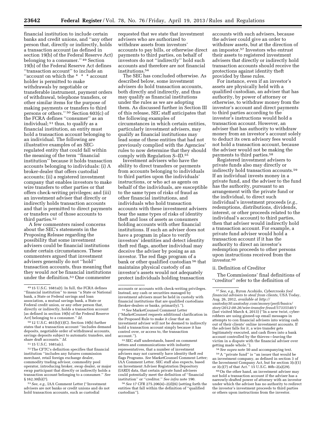financial institution to include certain banks and credit unions, and ''any other person that, directly or indirectly, holds a transaction account (as defined in section 19(b) of the Federal Reserve Act) belonging to a consumer.'' 49 Section 19(b) of the Federal Reserve Act defines ''transaction account'' to include an ''account on which the \* \* \* account holder is permitted to make withdrawals by negotiable or transferable instrument, payment orders of withdrawal, telephone transfers, or other similar items for the purpose of making payments or transfers to third persons or others.'' 50 Section 603(c) of the FCRA defines ''consumer'' as an individual; 51 thus, to qualify as a financial institution, an entity must hold a transaction account belonging to an individual. The following are illustrative examples of an SECregulated entity that could fall within the meaning of the term ''financial institution'' because it holds transaction accounts belonging to individuals: (i) A broker-dealer that offers custodial accounts; (ii) a registered investment company that enables investors to make wire transfers to other parties or that offers check-writing privileges; and (iii) an investment adviser that directly or indirectly holds transaction accounts and that is permitted to direct payments or transfers out of those accounts to third parties.<sup>52</sup>

A few commenters raised concerns about the SEC's statements in the Proposing Release regarding the possibility that some investment advisers could be financial institutions under certain circumstances. These commenters argued that investment advisers generally do not ''hold'' transaction accounts, thus meaning that they would *not* be financial institutions under the definition.53 One commenter

51 15 U.S.C. 1681a(c).

52The CFTC's definition specifies that financial institution ''includes any futures commission merchant, retail foreign exchange dealer, commodity trading advisor, commodity pool operator, introducing broker, swap dealer, or major swap participant that directly or indirectly holds a transaction account belonging to a consumer.'' *See*  § 162.30(b)(7).

53*See, e.g.,* IAA Comment Letter (''Investment advisers are not banks or credit unions and do not hold transaction accounts, such as custodial

requested that we state that investment advisers who are authorized to withdraw assets from investors' accounts to pay bills, or otherwise direct payments to third parties, on behalf of investors do not ''indirectly'' hold such accounts and therefore are not financial institutions.54

The SEC has concluded otherwise. As described below, some investment advisers do hold transaction accounts, both directly and indirectly, and thus may qualify as financial institutions under the rules as we are adopting them. As discussed further in Section III of this release, SEC staff anticipates that the following examples of circumstances in which certain entities, particularly investment advisers, may qualify as financial institutions may lead some of these entities that had not previously complied with the Agencies' rules to now determine that they should comply with Regulation S–ID.55

Investment advisers who have the ability to direct transfers or payments from accounts belonging to individuals to third parties upon the individuals' instructions, or who act as agents on behalf of the individuals, are susceptible to the same types of risks of fraud as other financial institutions, and individuals who hold transaction accounts with these investment advisers bear the same types of risks of identity theft and loss of assets as consumers holding accounts with other financial institutions. If such an adviser does not have a program in place to verify investors' identities and detect identity theft red flags, another individual may deceive the adviser by posing as an investor. The red flags program of a bank or other qualified custodian 56 that maintains physical custody of an investor's assets would not adequately protect individuals holding transaction

55SEC staff understands, based on comment letters and communications with industry representatives, that a number of investment advisers may not currently have identity theft red flags Programs. *See* MarketCounsel Comment Letter; IAA Comment Letter. SEC staff also expects, based on Investment Adviser Registration Depository (IARD) data, that certain private fund advisers could potentially meet the definition of ''financial institution'' or ''creditor.'' *See infra* note 190.

56*See* 17 CFR 275.206(4)–2(d)(6) (setting forth the entities that fall within the definition of ''qualified custodian'').

accounts with such advisers, because the adviser could give an order to withdraw assets, but at the direction of an impostor.57 Investors who entrust their assets to registered investment advisers that directly or indirectly hold transaction accounts should receive the protections against identity theft provided by these rules.

For instance, even if an investor's assets are physically held with a qualified custodian, an adviser that has authority, by power of attorney or otherwise, to withdraw money from the investor's account and direct payments to third parties according to the investor's instructions would hold a transaction account. However, an adviser that has authority to withdraw money from an investor's account solely to deduct its own advisory fees would not hold a transaction account, because the adviser would not be making the payments to third parties.58

Registered investment advisers to private funds also may directly or indirectly hold transaction accounts.59 If an individual invests money in a private fund, and the adviser to the fund has the authority, pursuant to an arrangement with the private fund or the individual, to direct such individual's investment proceeds (*e.g.,*  redemptions, distributions, dividends, interest, or other proceeds related to the individual's account) to third parties, then that adviser would indirectly hold a transaction account. For example, a private fund adviser would hold a transaction account if it has the authority to direct an investor's redemption proceeds to other persons upon instructions received from the investor.60

#### ii. Definition of Creditor

The Commissions' final definitions of ''creditor'' refer to the definition of

<sup>58</sup> See supra note 50 and accompanying text.<br><sup>59</sup> A "private fund" is "an issuer that would be an investment company, as defined in section 3 of the Investment Company Act, but for section  $3(c)(1)$ <br>or  $3(c)(7)$  of that Act." 15 U.S.C.  $80b-2(a)(29)$ .

<sup>60</sup> On the other hand, an investment adviser may not hold a transaction account if the adviser has a narrowly-drafted power of attorney with an investor under which the adviser has no authority to redirect the investor's investment proceeds to third parties or others upon instructions from the investor.

<sup>49</sup> 15 U.S.C. 1681a(t). In full, the FCRA defines ''financial institution'' to mean ''a State or National bank, a State or Federal savings and loan association, a mutual savings bank, a State or Federal credit union, or any other person that, directly or indirectly, holds a transaction account [as defined in section 19(b) of the Federal Reserve Act] belonging to a consumer.'' *Id.* 

<sup>50</sup> 12 U.S.C. 461(b)(1)(C). Section 19(b) further states that a transaction account ''includes demand deposits, negotiable order of withdrawal accounts, savings deposits subject to automatic transfers, and share draft accounts.'' *Id.* 

accounts or accounts with check-writing privileges. Instead, any cash or securities managed by investment advisers must be held in custody with financial institutions that are qualified custodians (broker-dealers or banks, primarily).''). 54*See* MarketCounsel Comment Letter

<sup>(&#</sup>x27;'MarketCounsel requests additional clarification in the Proposed Rule to make it clear that an investment adviser will not be deemed to indirectly hold a transaction account simply because it has control over, or access to, the transaction account.'').

<sup>57</sup>*See, e.g.,* Byron Acohido, *Cybercrooks fool financial advisers to steal from clients,* USA Today, Aug. 26, 2012, *available at [http://](http://usatoday30.usatoday.com/money/perfi/basics/story/2012-08-26/wire-transfer-fraud/57335540/1) [usatoday30.usatoday.com/money/perfi/basics/](http://usatoday30.usatoday.com/money/perfi/basics/story/2012-08-26/wire-transfer-fraud/57335540/1) [story/2012-08-26/wire-transfer-fraud/57335540/1](http://usatoday30.usatoday.com/money/perfi/basics/story/2012-08-26/wire-transfer-fraud/57335540/1)*  (last visited March 4, 2013) (''In a new twist, cyberrobbers are using ginned-up email messages in attempts to con financial advisers into wiring cash out of their clients' online investment accounts. If the adviser falls for it, a wire transfer gets legitimately executed, and cash flows into a bank account controlled by the thieves—leaving the victim in a dispute with the financial adviser over getting made whole.'').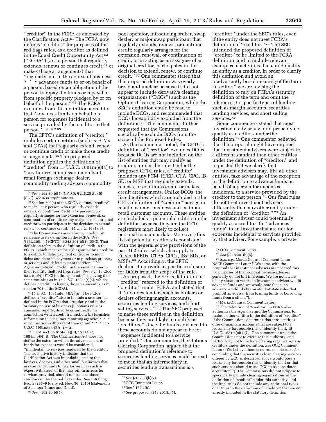''creditor'' in the FCRA as amended by the Clarification Act.61 The FCRA now defines ''creditor,'' for purposes of the red flags rules, as a creditor as defined in the Equal Credit Opportunity Act 62 (''ECOA'') (*i.e.,* a person that regularly extends, renews or continues credit,<sup>63</sup> or makes those arrangements) that ''regularly and in the course of business \* advances funds to or on behalf of a person, based on an obligation of the person to repay the funds or repayable from specific property pledged by or on behalf of the person."<sup>64</sup> The FCRA excludes from this definition a creditor that ''advances funds on behalf of a person for expenses incidental to a service provided by the creditor to that person  $* * * " 65"$ 

The CFTC's definition of ''creditor'' includes certain entities (such as FCMs and CTAs) that regularly extend, renew or continue credit or make those credit arrangements.66 The proposed definition applies the definition of "creditor" from  $15$  U.S.C.  $1681m(e)(4)$  to ''any futures commission merchant, retail foreign exchange dealer, commodity trading advisor, commodity

62Section 702(e) of the ECOA defines ''creditor'' to mean ''any person who regularly extends, renews, or continues credit; any person who regularly arranges for the extension, renewal, or continuation of credit; or any assignee of an original creditor who participates in the decision to extend, renew, or continue credit.'' 15 U.S.C. 1691a(e).

 $^{63}\mathrm{The~Commissions}$  are defining ''credit'' by reference to its definition in the FCRA. *See*  § 162.30(b)(4) (CFTC); § 248.201(b)(4) (SEC). That definition refers to the definition of credit in the ECOA, which means ''the right granted by a creditor to a debtor to defer payment of debt or to incur debts and defer its payment or to purchase property or services and defer payment therefor.'' The Agencies defined ''credit'' in the same manner in their identity theft red flags rules. *See, e.g.,* 16 CFR 681.1(b)(4) (FTC) (defining ''credit'' as having the same meaning as in 15 U.S.C. 1681a(r)(5), which defines ''credit'' as having the same meaning as in section 702 of the ECOA).

64 15 U.S.C. 1681m(e)(4)(A)(iii). The FCRA defines a ''creditor'' also to include a creditor (as defined in the ECOA) that ''regularly and in the ordinary course of business (i) obtains or uses consumer reports, directly or indirectly, in connection with a credit transaction; (ii) furnishes information to consumer reporting agencies \* in connection with a credit transaction \* \* \*'' 15 U.S.C. 1681m(e)(4)(A)(i)–(ii).

65FCRA section 615(e)(4)(B), 15 U.S.C. 1681m(e)(4)(B). The Clarification Act does not define the extent to which the advancement of funds for expenses would be considered ''incidental'' to services rendered by the creditor. The legislative history indicates that the Clarification Act was intended to ensure that lawyers, doctors, and other small businesses that may advance funds to pay for services such as expert witnesses, or that may bill in arrears for services provided, should not be considered creditors under the red flags rules. *See* 156 Cong. Rec. S8288–9 (daily ed. Nov. 30, 2010) (statements of Senators Thune and Dodd).

pool operator, introducing broker, swap dealer, or major swap participant that regularly extends, renews, or continues credit; regularly arranges for the extension, renewal, or continuation of credit; or in acting as an assignee of an original creditor, participates in the decision to extend, renew, or continue credit.'' 67 One commenter stated that the proposed definition was overly broad and unclear because it did not appear to include derivative clearing organizations (''DCOs'') such as the Options Clearing Corporation, while the SEC's definition could be read to include DCOs, and recommended that DCOs be explicitly excluded from the definition.68 The commenter further requested that the Commissions specifically exclude DCOs from the scope of the Proposed Rules.

As the commenter noted, the CFTC's definition of ''creditor'' excludes DCOs because DCOs are not included on the list of entities that may qualify as creditors under the rule. Under the proposed CFTC rules, a ''creditor'' includes any FCM, RFED, CTA, CPO, IB, SD, or MSP that regularly extends, renews, or continues credit or makes credit arrangements. Unlike DCOs, the listed entities which are included in the CFTC definition of ''creditor'' engage in retail customer business and maintain retail customer accounts. These entities are included as potential creditors in the definition because they are the CFTC registrants most likely to collect personal consumer data. Moreover, this list of potential creditors is consistent with the general scope provisions of the part 162 rules, which also apply to FCMs, RFEDs, CTAs, CPOs, IBs, SDs, or MSPs.69 Accordingly, the CFTC declines to provide a specific exclusion for DCOs from the scope of the rule.

As proposed, the SEC's definition of "creditor" referred to the definition of ''creditor'' under FCRA, and stated that it ''includes lenders such as brokers or dealers offering margin accounts, securities lending services, and short selling services.'' 70 The SEC proposed to name these entities in the definition because they are likely to qualify as ''creditors,'' since the funds advanced in these accounts do not appear to be for ''expenses incidental to a service provided.'' One commenter, the Options Clearing Corporation, argued that the proposed definition's reference to securities lending services could be read to mean that an intermediary in securities lending transactions is a

''creditor'' under the SEC's rules, even if the entity does not meet FCRA's definition of ''creditor.'' 71 The SEC intended the proposed definition of ''creditor'' to be limited to the FCRA definition, and to include relevant examples of activities that could qualify an entity as a creditor. In order to clarify this definition and avoid an inadvertently broad meaning of the term ''creditor,'' we are revising the definition to rely on FCRA's statutory definition of the term and omit the references to specific types of lending, such as margin accounts, securities lending services, and short selling services.72

Some commenters stated that most investment advisers would probably not qualify as creditors under the definition.73 One commenter believed that the proposal might have implied that investment advisers were subject to a different standard than other entities under the definition of ''creditor,'' and requested that we clarify that investment advisers may, like all other entities, take advantage of the exception in the definition to advance funds on behalf of a person for expenses incidental to a service provided by the creditor to that person.74 Our final rules do not treat investment advisers differently than any other entity under the definition of ''creditor.'' 75 An investment adviser could potentially qualify as a creditor if it ''advances funds'' to an investor that are not for expenses incidental to services provided by that adviser. For example, a private

73*See, e.g.,* MarketCounsel Comment Letter; NSCP Comment Letter (''We agree with the proposal that investment advisers are not creditors for purposes of the proposal because advisers generally do not bill in arrears. We are not aware of any situation where an investment adviser would advance funds and we would note that such advisers would likely run afoul of state rules that prohibit an adviser from loaning funds or borrowing funds from a client.'').

74MarketCounsel Comment Letter.

75The definition of ''creditor'' in FCRA also authorizes the Agencies and the Commissions to include other entities in the definition of ''creditor'' if the Commissions determine that those entities offer or maintain accounts that are subject to a reasonably foreseeable risk of identity theft. 15 U.S.C. 1681m(e)(4)(C). One commenter urged the Commissions not to exercise this authority, and particularly not to include clearing organizations as creditors under the definition. *See* OCC Comment Letter (''We believe there is no reasonable basis for concluding that the securities loan clearing services offered by OCC as described above would pose a reasonably foreseeable risk of identity theft or that such services should cause OCC to be considered a 'creditor.'''). The Commissions did not propose to specifically include clearing organizations in the definition of ''creditor'' under this authority, and the final rules do not include any additional types of entities in the definition of ''creditor'' that are not already included in the statutory definition.

<sup>61</sup>*See* § 162.30(b)(5) (CFTC); § 248.201(b)(5) (SEC); *see also supra* note 31.

<sup>66</sup>*See* § 162.30(b)(5).

<sup>67</sup>*See* § 162.30(b)(7).

<sup>68</sup>OCC Comment Letter.

<sup>69</sup>*See* § 162.1(b).

<sup>70</sup>*See* proposed § 248.201(b)(5).

<sup>71</sup>OCC Comment Letter.

<sup>72</sup>*See* § 248.201(b)(5).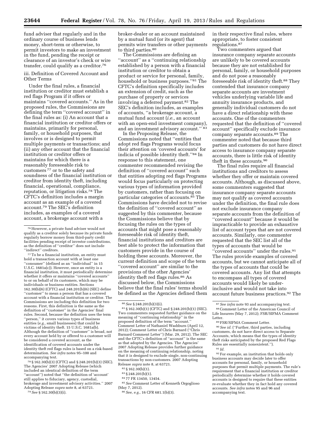fund adviser that regularly and in the ordinary course of business lends money, short-term or otherwise, to permit investors to make an investment in the fund, pending the receipt or clearance of an investor's check or wire transfer, could qualify as a creditor.76

iii. Definition of Covered Account and Other Terms

Under the final rules, a financial institution or creditor must establish a red flags Program if it offers or maintains ''covered accounts.'' As in the proposed rules, the Commissions are defining the term ''covered account'' in the final rules as: (i) An account that a financial institution or creditor offers or maintains, primarily for personal, family, or household purposes, that involves or is designed to permit multiple payments or transactions; and (ii) any other account that the financial institution or creditor offers or maintains for which there is a reasonably foreseeable risk to customers 77 or to the safety and soundness of the financial institution or creditor from identity theft, including financial, operational, compliance, reputation, or litigation risks.78 The CFTC's definition includes a margin account as an example of a covered account.79 The SEC's definition includes, as examples of a covered account, a brokerage account with a

77To be a financial institution, an entity must hold a transaction account with at least one ''consumer'' (defined as an ''individual'' in 15 U.S.C. 1681a(c)). However, once an entity is a financial institution, it must periodically determine whether it offers or maintains ''covered accounts'' to or on behalf of its customers, which may be individuals or business entities. Sections 162.30(b)(6) (CFTC) and 248.201(b)(6) (SEC) define ''customer'' to mean a person that has a covered account with a financial institution or creditor. The Commissions are including this definition for two reasons. First, this definition is the same as the definition of ''customer'' in the Agencies' final rules. Second, because the definition uses the term ''person,'' it covers various types of business entities (*e.g.,* small businesses) that could be victims of identity theft. 15 U.S.C. 1681a(b). Although the definition of ''customer'' is broad, not every account held by or offered to a customer will be considered a covered account, as the identification of covered accounts under the identity theft red flags rules is based on a risk-based determination. *See infra* notes 95–100 and accompanying text.

78 § 162.30(b)(3) (CFTC) and § 248.201(b)(3) (SEC). The Agencies' 2007 Adopting Release (which included an identical definition of the term ''account'') noted that ''the definition of 'account' still applies to fiduciary, agency, custodial, brokerage and investment advisory activities.'' 2007 Adopting Release *supra* note 8, at 63721.

79*See* § 162.30(b)(3)(i).

broker-dealer or an account maintained by a mutual fund (or its agent) that permits wire transfers or other payments to third parties.<sup>80</sup>

The Commissions are defining an ''account'' as a ''continuing relationship established by a person with a financial institution or creditor to obtain a product or service for personal, family, household or business purposes.''81 The CFTC's definition specifically includes an extension of credit, such as the purchase of property or services involving a deferred payment.82 The SEC's definition includes, as examples of accounts, ''a brokerage account, a mutual fund account (*i.e.,* an account with an open-end investment company), and an investment advisory account.'' 83

In the Proposing Release, the Commissions noted that ''entities that adopt red flags Programs would focus their attention on 'covered accounts' for indicia of possible identity theft.''84 In response to this statement, one commenter recommended revising the definition of ''covered account'' such that entities adopting red flags Programs would focus particularly on protecting various types of information provided by customers, rather than focusing on particular categories of accounts.85 The Commissions have decided not to revise the definition of ''covered account'' as suggested by this commenter, because the Commissions believe that by focusing the rules on the types of accounts that might pose a reasonably foreseeable risk of identity theft, financial institutions and creditors are best able to protect the information that customers provide in the course of holding these accounts. Moreover, the current definition and scope of the term ''covered account'' are similar to the provisions of the other Agencies' identity theft red flags rules.<sup>86</sup> As discussed below, the Commissions believe that the final rules' terms should be defined as the Agencies defined them

85*See* Comment Letter of Kenneth Orgoglioso (May 7, 2012).

in their respective final rules, where appropriate, to foster consistent regulations.87

Two commenters argued that insurance company separate accounts are unlikely to be covered accounts because they are not established for personal, family, or household purposes and do not pose a reasonably foreseeable risk of identity theft.88 They contended that insurance company separate accounts are investment vehicles underlying variable life and annuity insurance products, and generally individual customers do not have a direct relationship with these accounts. One of the commenters requested that the definition of ''covered account'' specifically exclude insurance company separate accounts.89 The commenter noted that because third parties and customers do not have direct access to insurance company separate accounts, there is little risk of identity theft in these accounts.90

The final rules require all financial institutions and creditors to assess whether they offer or maintain covered accounts. Although, as discussed above, some commenters suggested that insurance company separate accounts may not qualify as covered accounts under the definition, the final rule does not exclude insurance company separate accounts from the definition of ''covered account'' because it would be impracticable to provide an exhaustive list of account types that are not covered accounts. Similarly, one commenter requested that the SEC list all of the types of accounts that would be ''covered accounts'' under the rules.91 The rules provide examples of covered accounts, but we cannot anticipate all of the types of accounts that could be covered accounts. Any list that attempts to encompass all types of covered accounts would likely be underinclusive and would not take into account future business practices.92 The

89FSR/SIFMA Comment Letter.

<sup>90</sup> See id. ("Further, third parties, including customers, do not have direct access to Separate Accounts, which means that the types of identity theft risks anticipated by the proposed Red Flags Rules are essentially nonexistent.'').

92For example, an institution that holds only business accounts may decide later to offer accounts for personal, family, or household purposes that permit multiple payments. The rule's requirement that a financial institution or creditor periodically determine whether it holds covered accounts is designed to require that these entities re-evaluate whether they in fact hold any covered accounts. *See infra* notes 95 and 96 and accompanying text.

<sup>76</sup>However, a private fund adviser would not qualify as a creditor solely because its private funds regularly borrow money from third-party credit facilities pending receipt of investor contributions, as the definition of ''creditor'' does not include "indirect" creditors.

<sup>80</sup>*See* § 248.201(b)(3)(i).

<sup>81</sup> § 162.30(b)(1) (CFTC) and § 248.201(b)(1) (SEC). Two commenters requested further guidance on the meaning of ''continuing relationship'' in the proposed definition of the term ''account.'' Comment Letter of Nathaniel Washburn (April 12, 2012); Comment Letter of Chris Barnard (''Chris Barnard Comment Letter'') (Mar. 29, 2012). The SEC and the CFTC's definition of ''account'' is the same as that adopted by the Agencies. The Agencies' 2007 Adopting Release provides further guidance on the meaning of continuing relationship, noting that it is designed to exclude single, non-continuing transactions by non-customers. 2007 Adopting Release *supra* note 8, at 63721.

<sup>82</sup> § 162.30(b)(1).

<sup>83</sup> § 248.201(b)(1).

<sup>84</sup> 77 FR 13450, 13454.

<sup>86</sup>*See, e.g.,* 16 CFR 681.1(b)(3).

<sup>87</sup>*See infra* note 93 and accompanying text. 88Comment Letter of the American Council of Life Insurers (May 7, 2012); FSR/SIFMA Comment Letter.

<sup>91</sup> *Id.*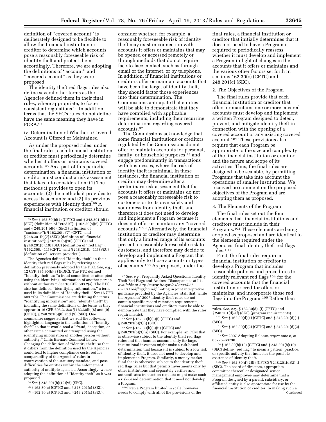definition of ''covered account'' is deliberately designed to be flexible to allow the financial institution or creditor to determine which accounts pose a reasonably foreseeable risk of identity theft and protect them accordingly. Therefore, we are adopting the definitions of ''account'' and ''covered account'' as they were proposed.

The identity theft red flags rules also define several other terms as the Agencies defined them in their final rules, where appropriate, to foster consistent regulations.93 In addition, terms that the SEC's rules do not define have the same meaning they have in FCRA.94

iv. Determination of Whether a Covered Account Is Offered or Maintained

As under the proposed rules, under the final rules, each financial institution or creditor must periodically determine whether it offers or maintains covered accounts.95 As a part of this periodic determination, a financial institution or creditor must conduct a risk assessment that takes into consideration: (1) The methods it provides to open its accounts; (2) the methods it provides to access its accounts; and (3) its previous experiences with identity theft.96 A financial institution or creditor should

The Agencies defined ''identity theft'' in their identity theft red flags rules by referring to a definition previously adopted by the FTC. *See, e.g.,*  12 CFR 334.90(b)(8) (FDIC). The FTC defined ''identity theft'' as ''a fraud committed or attempted using the identifying information of another person without authority.'' *See* 16 CFR 603.2(a). The FTC also has defined ''identifying information,'' a term used in its definition of ''identity theft.'' *See* 16 CFR 603.2(b). The Commissions are defining the terms ''identifying information'' and ''identity theft'' by including the same definitions of the terms as they appear in 16 CFR 603.2. *See* § 162.30(b)(8) and (9)  $(\dot{C}$ FTC); § 248.201(b)(8) and  $(\dot{9})$  (SEC). One commenter suggested that we add the following highlighted language to the definition of ''identity theft'' so that it would read a ''fraud, deception, or other crime committed or attempted using the identifying information of another person without authority.'' Chris Barnard Comment Letter. Changing the definition of ''identity theft'' so that it differs from the definition used by the Agencies could lead to higher compliance costs, reduce comparability of the Agencies' rules in contravention of the statutory mandate, and pose difficulties for entities within the enforcement authority of multiple agencies. Accordingly, we are adopting the definition of ''identity theft'' as it was proposed.

94*See* § 248.201(b)(12)(vi) (SEC).

96 § 162.30(c) (CFTC) and § 248.201(c) (SEC).

consider whether, for example, a reasonably foreseeable risk of identity theft may exist in connection with accounts it offers or maintains that may be opened or accessed remotely or through methods that do not require face-to-face contact, such as through email or the Internet, or by telephone. In addition, if financial institutions or creditors offer or maintain accounts that have been the target of identity theft, they should factor those experiences into their determination. The Commissions anticipate that entities will be able to demonstrate that they have complied with applicable requirements, including their recurring determinations regarding covered accounts.97

The Commissions acknowledge that some financial institutions or creditors regulated by the Commissions do not offer or maintain accounts for personal, family, or household purposes,<sup>98</sup> and engage predominantly in transactions with businesses, where the risk of identity theft is minimal. In these instances, the financial institution or creditor may determine after a preliminary risk assessment that the accounts it offers or maintains do not pose a reasonably foreseeable risk to customers or to its own safety and soundness from identity theft, and therefore it does not need to develop and implement a Program because it does not offer or maintain any ''covered accounts.'' 99 Alternatively, the financial institution or creditor may determine that only a limited range of its accounts present a reasonably foreseeable risk to customers, and therefore may decide to develop and implement a Program that applies only to those accounts or types of accounts.100 As proposed, under the

98*See* § 162.30(b)(3)(i) (CFTC) and § 248.201(b)(3)(i) (SEC).

99*See* § 162.30(b)(3)(ii) (CFTC) and § 248.201(b)(3)(ii) (SEC). For example, an FCM that is otherwise subject to the identity theft red flags rules and that handles accounts only for large, institutional investors might make a risk-based determination that because it is subject to a low risk of identity theft, it does not need to develop and implement a Program. Similarly, a money market fund that is otherwise subject to the identity theft red flags rules but that permits investments only by other institutions and separately verifies and authenticates transaction requests might make such a risk-based determination that it need not develop a Program.

100Even a Program limited in scale, however, needs to comply with all of the provisions of the

final rules, a financial institution or creditor that initially determines that it does not need to have a Program is required to periodically reassess whether it must develop and implement a Program in light of changes in the accounts that it offers or maintains and the various other factors set forth in sections 162.30(c) (CFTC) and 248.201(c) (SEC).

# 2. The Objectives of the Program

The final rules provide that each financial institution or creditor that offers or maintains one or more covered accounts must develop and implement a written Program designed to detect, prevent, and mitigate identity theft in connection with the opening of a covered account or any existing covered account.101 These provisions also require that each Program be appropriate to the size and complexity of the financial institution or creditor and the nature and scope of its activities. Thus, the final rules are designed to be scalable, by permitting Programs that take into account the operations of smaller institutions. We received no comment on the proposed objectives of the Program and are adopting them as proposed.

#### 3. The Elements of the Program

The final rules set out the four elements that financial institutions and creditors must include in their Programs.102 These elements are being adopted as proposed and are identical to the elements required under the Agencies' final identity theft red flags rules.103

First, the final rules require a financial institution or creditor to develop a Program that includes reasonable policies and procedures to identify relevant red flags 104 for the covered accounts that the financial institution or creditor offers or maintains, and incorporate those red flags into the Program.105 Rather than

104 § 162.30(b)(10) (CFTC) and § 248.201(b)(10) (SEC) define ''red flag'' to mean a pattern, practice, or specific activity that indicates the possible existence of identity theft.

105*See* § 162.30(d)(2)(i) (CFTC) § 248.201(d)(2)(i) (SEC). The board of directors, appropriate committee thereof, or designated senior management employee may determine that a Program designed by a parent, subsidiary, or affiliated entity is also appropriate for use by the financial institution or creditor. In making such a Continued

<sup>93</sup>*See* § 162.30(b)(4) (CFTC) and § 248.201(b)(4) (SEC) (definition of ''credit''); § 162.30(b)(6) (CFTC) and § 248.201(b)(6) (SEC) (definition of ''customer''); § 162.30(b)(7) (CFTC) and § 248.201(b)(7) (SEC) (definition of ''financial institution''); § 162.30(b)(10) (CFTC) and § 248.201(b)(10) (SEC) (definition of ''red flag''); § 162.30(b)(11) (CFTC) and § 248.201(b)(11) (SEC) (definition of ''service provider'').

<sup>95</sup> § 162.30(c) (CFTC) and § 248.201(c) (SEC).

<sup>97</sup>*See, e.g.,* Frequently Asked Questions: Identity Theft Red Flags and Address Discrepancies at I.1, *available at [http://www.ftc.gov/os/2009/06/](http://www.ftc.gov/os/2009/06/090611redflagsfaq.pdf) [090611redflagsfaq.pdf](http://www.ftc.gov/os/2009/06/090611redflagsfaq.pdf)* (noting in joint interpretive guidance provided by the Agencies' staff that, while the Agencies' 2007 identity theft rules do not contain specific record retention requirements, financial institutions and creditors must be able to demonstrate that they have complied with the rules' requirements).

rules. *See, e.g.,* § 162.30(d)–(f) (CFTC) and § 248.201(d)–(f) (SEC) (program requirements).

<sup>101</sup>*See* § 162.30(d)(1) (CFTC) and § 248.201(d)(1) (SEC).

<sup>102</sup>*See* § 162.30(d)(2) (CFTC) and § 248.201(d)(2) (SEC).

<sup>103</sup>*See* 2007 Adopting Release, *supra* note 8, at 63726–63730.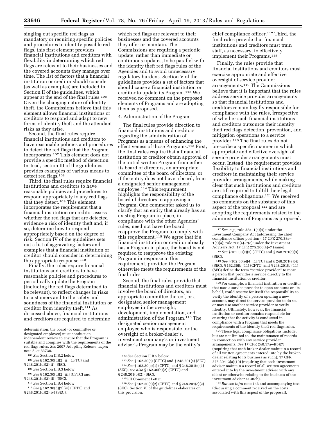singling out specific red flags as mandatory or requiring specific policies and procedures to identify possible red flags, this first element provides financial institutions and creditors with flexibility in determining which red flags are relevant to their businesses and the covered accounts they manage over time. The list of factors that a financial institution or creditor should consider (as well as examples) are included in Section II of the guidelines, which appear at the end of the final rules.106 Given the changing nature of identity theft, the Commissions believe that this element allows financial institutions or creditors to respond and adapt to new forms of identity theft and the attendant risks as they arise.

Second, the final rules require financial institutions and creditors to have reasonable policies and procedures to detect the red flags that the Program incorporates.107 This element does not provide a specific method of detection. Instead, section III of the guidelines provides examples of various means to detect red flags.108

Third, the final rules require financial institutions and creditors to have reasonable policies and procedures to respond appropriately to any red flags that they detect.109 This element incorporates the requirement that a financial institution or creditor assess whether the red flags that are detected evidence a risk of identity theft and, if so, determine how to respond appropriately based on the degree of risk. Section IV of the guidelines sets out a list of aggravating factors and examples that a financial institution or creditor should consider in determining the appropriate response.<sup>110</sup>

Finally, the rules require financial institutions and creditors to have reasonable policies and procedures to periodically update the Program (including the red flags determined to be relevant), to reflect changes in risks to customers and to the safety and soundness of the financial institution or creditor from identity theft.111 As discussed above, financial institutions and creditors are required to determine

109*See* § 162.30(d)(2)(iii) (CFTC) and

111*See* § 162.30(d)(2)(iv) (CFTC) and

which red flags are relevant to their businesses and the covered accounts they offer or maintain. The Commissions are requiring a periodic update, rather than immediate or continuous updates, to be parallel with the identity theft red flags rules of the Agencies and to avoid unnecessary regulatory burdens. Section V of the guidelines provides a set of factors that should cause a financial institution or creditor to update its Program.112 We received no comment on the proposed elements of Programs and are adopting them as proposed.

# 4. Administration of the Program

The final rules provide direction to financial institutions and creditors regarding the administration of Programs as a means of enhancing the effectiveness of those Programs.113 First, the final rules require that a financial institution or creditor obtain approval of the initial written Program from either its board of directors, an appropriate committee of the board of directors, or if the entity does not have a board, from a designated senior management employee.<sup>114</sup> This requirement highlights the responsibility of the board of directors in approving a Program. One commenter asked us to clarify that an entity that already has an existing Program in place, in compliance with the other Agencies' rules, need not have the board reapprove the Program to comply with this requirement.<sup>115</sup> We agree that if a financial institution or creditor already has a Program in place, the board is not required to reapprove the existing Program in response to this requirement, provided the Program otherwise meets the requirements of the final rules.

Second, the final rules provide that financial institutions and creditors must involve the board of directors, an appropriate committee thereof, or a designated senior management employee in the oversight, development, implementation, and administration of the Program.116 The designated senior management employee who is responsible for the oversight of a broker-dealer's, investment company's or investment adviser's Program may be the entity's

chief compliance officer.<sup>117</sup> Third, the final rules provide that financial institutions and creditors must train staff, as necessary, to effectively implement their Programs.<sup>118</sup>

Finally, the rules provide that financial institutions and creditors must exercise appropriate and effective oversight of service provider arrangements.119 The Commissions believe that it is important that the rules address service provider arrangements so that financial institutions and creditors remain legally responsible for compliance with the rules, irrespective of whether such financial institutions and creditors outsource their identity theft red flags detection, prevention, and mitigation operations to a service provider.120 The final rules do not prescribe a specific manner in which appropriate and effective oversight of service provider arrangements must occur. Instead, the requirement provides flexibility to financial institutions and creditors in maintaining their service provider arrangements, while making clear that such institutions and creditors are still required to fulfill their legal compliance obligations.121 We received no comments on the substance of this aspect of the proposal 122 and are adopting the requirements related to the administration of Programs as proposed.

120For example, a financial institution or creditor that uses a service provider to open accounts on its behalf, could reserve for itself the responsibility to verify the identity of a person opening a new account, may direct the service provider to do so, or may use another service provider to verify identity. Ultimately, however, the financial institution or creditor remains responsible for ensuring that the activity is conducted in compliance with a Program that meets the requirements of the identity theft red flags rules.

121These legal compliance obligations include, but are not limited to, the maintenance of records in connection with any service provider arrangements. *See* 17 CFR 240.17a–4(b)(7) (requiring that each broker-dealer maintain a record of all written agreements entered into by the brokerdealer relating to its business as such); 17 CFR  $275.204 - 2(a)(10)$  (requiring that each investment adviser maintain a record of all written agreements entered into by the investment adviser with any client or otherwise relating to the business of the investment adviser as such).

122*But see infra* note 143 and accompanying text (discussing a comment received on the costs associated with this aspect of the proposal).

determination, the board (or committee or designated employee) must conduct an independent review to ensure that the Program is suitable and complies with the requirements of the red flags rules. *See* 2007 Adopting Release, *supra*  note 8, at 63730.

<sup>106</sup>*See* Section II.B.2 below.

<sup>107</sup>*See* § 162.30(d)(2)(ii) (CFTC) and § 248.201(d)(2)(ii) (SEC).

<sup>108</sup>*See* Section II.B.3 below.

<sup>§ 248.201(</sup>d)(2)(iii) (SEC). 110*See* Section II.B.4 below.

<sup>§ 248.201(</sup>d)(2)(iv) (SEC).

<sup>112</sup>*See* Section II.B.5 below.

<sup>113</sup>*See* § 162.30(e) (CFTC) and § 248.201(e) (SEC). 114*See* § 162.30(e)(1) (CFTC) and § 248.201(e)(1) (SEC), *see also* § 162.30(b)(2) (CFTC) and § 248.201(b)(2) (SEC).

<sup>115</sup> ICI Comment Letter.

<sup>116</sup>*See* § 162.30(e)(2) (CFTC) and § 248.201(e)(2) (SEC). Section VI of the guidelines elaborates on this provision.

<sup>117</sup>*See, e.g.,* rule 38a–1(a)(4) under the Investment Company Act (addressing the chief compliance officer position), 17 CFR 270.38a–  $1(a)(4)$ ; rule 206(4)–7(c) under the Investment Advisers Act, 17 CFR 275.206(4)–7 (same).

<sup>118</sup>*See* § 162.30(e)(3) (CFTC) and § 248.201(e)(3) (SEC).

<sup>119</sup>*See* § 162.30(e)(4) (CFTC) and § 248.201(e)(4) (SEC). § 162.30(b)(11) (CFTC) and § 248.201(b)(11) (SEC) define the term ''service provider'' to mean a person that provides a service directly to the financial institution or creditor.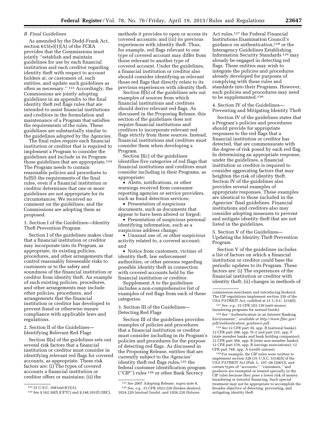#### *B. Final Guidelines*

As amended by the Dodd-Frank Act, section  $615(e)(1)(A)$  of the FCRA provides that the Commissions must jointly ''establish and maintain guidelines for use by each financial institution and each creditor regarding identity theft with respect to account holders at, or customers of, such entities, and update such guidelines as often as necessary.'' 123 Accordingly, the Commissions are jointly adopting guidelines in an appendix to the final identity theft red flags rules that are intended to assist financial institutions and creditors in the formulation and maintenance of a Program that satisfies the requirements of the rules. These guidelines are substantially similar to the guidelines adopted by the Agencies.

The final rules require each financial institution or creditor that is required to implement a Program to consider the guidelines and include in its Program those guidelines that are appropriate.124 The Program needs to contain reasonable policies and procedures to fulfill the requirements of the final rules, even if a financial institution or creditor determines that one or more guidelines are not appropriate for its circumstances. We received no comment on the guidelines, and the Commissions are adopting them as proposed.

1. Section I of the Guidelines—Identity Theft Prevention Program

Section I of the guidelines makes clear that a financial institution or creditor may incorporate into its Program, as appropriate, its existing policies, procedures, and other arrangements that control reasonably foreseeable risks to customers or to the safety and soundness of the financial institution or creditor from identity theft. An example of such existing policies, procedures, and other arrangements may include other policies, procedures, and arrangements that the financial institution or creditor has developed to prevent fraud or otherwise ensure compliance with applicable laws and regulations.

2. Section II of the Guidelines— Identifying Relevant Red Flags

Section II(a) of the guidelines sets out several risk factors that a financial institution or creditor must consider in identifying relevant red flags for covered accounts, as appropriate. These risk factors are: (i) The types of covered accounts a financial institution or creditor offers or maintains; (ii) the

methods it provides to open or access its covered accounts; and (iii) its previous experiences with identity theft. Thus, for example, red flags relevant to one type of covered account may differ from those relevant to another type of covered account. Under the guidelines, a financial institution or creditor also should consider identifying as relevant those red flags that directly relate to its previous experiences with identity theft.

Section II(b) of the guidelines sets out examples of sources from which financial institutions and creditors should derive relevant red flags. As discussed in the Proposing Release, this section of the guidelines does not require financial institutions and creditors to incorporate relevant red flags strictly from these sources. Instead, financial institutions and creditors must consider them when developing a Program.

Section II(c) of the guidelines identifies five categories of red flags that financial institutions and creditors must consider including in their Programs, as appropriate:

• Alerts, notifications, or other warnings received from consumer reporting agencies or service providers, such as fraud detection services;

• Presentation of suspicious documents, such as documents that appear to have been altered or forged;

• Presentation of suspicious personal identifying information, such as a suspicious address change;

• Unusual use of, or other suspicious activity related to, a covered account; and

• Notice from customers, victims of identity theft, law enforcement authorities, or other persons regarding possible identity theft in connection with covered accounts held by the financial institution or creditor.

Supplement A to the guidelines includes a non-comprehensive list of examples of red flags from each of these categories.

3. Section III of the Guidelines— Detecting Red Flags

Section III of the guidelines provides examples of policies and procedures that a financial institution or creditor must consider including in its Program's policies and procedures for the purpose of detecting red flags. As discussed in the Proposing Release, entities that are currently subject to the Agencies' identity theft red flags rules,<sup>125</sup> the federal customer identification program (''CIP'') rules 126 or other Bank Secrecy

Act rules.<sup>127</sup> the Federal Financial Institutions Examination Council's guidance on authentication,128 or the Interagency Guidelines Establishing Information Security Standards 129 may already be engaged in detecting red flags. These entities may wish to integrate the policies and procedures already developed for purposes of complying with these rules and standards into their Programs. However, such policies and procedures may need to be supplemented.130

4. Section IV of the Guidelines— Preventing and Mitigating Identity Theft

Section IV of the guidelines states that a Program's policies and procedures should provide for appropriate responses to the red flags that a financial institution or creditor has detected, that are commensurate with the degree of risk posed by each red flag. In determining an appropriate response, under the guidelines, a financial institution or creditor is required to consider aggravating factors that may heighten the risk of identity theft. Section IV of the guidelines also provides several examples of appropriate responses. These examples are identical to those included in the Agencies' final guidelines. Financial institutions and creditors also may consider adopting measures to prevent and mitigate identity theft that are not listed in the guidelines.

5. Section V of the Guidelines— Updating the Identity Theft Prevention Program

Section V of the guidelines includes a list of factors on which a financial institution or creditor could base the periodic updates to its Program. These factors are: (i) The experiences of the financial institution or creditor with identity theft; (ii) changes in methods of

128*See* ''Authentication in an Internet Banking Environment,'' *available at [http://www.ffiec.gov/](http://www.ffiec.gov/pdf/authentication_guidance.pdf) [pdf/authentication](http://www.ffiec.gov/pdf/authentication_guidance.pdf)*\_*guidance.pdf*.

129*See* 12 CFR part 30, app. B (national banks); 12 CFR part 208, app. D–2 and part 225, app. F (state member banks and bank holding companies); 12 CFR part 364, app. B (state non-member banks); 12 CFR part 570, app. B (savings associations); 12 CFR part 748, app. A (credit unions).

130For example, the CIP rules were written to implement section 326 (31 U.S.C. 5318(*l*)) of the USA PATRIOT Act (Pub. L. 107–56 (2001)), and certain types of ''accounts,'' ''customers,'' and products are exempted or treated specially in the CIP rules because they pose a lower risk of money laundering or terrorist financing. Such special treatment may not be appropriate to accomplish the broader objective of detecting, preventing, and mitigating identity theft.

 $\overline{12315}$  U.S.C. 1681m(e)(1)(A).

<sup>124</sup>*See* § 162.30(f) (CFTC) and § 248.201(f) (SEC).

<sup>125</sup>*See* 2007 Adopting Release, *supra* note 8. 126*See, e.g.,* 31 CFR 1023.220 (broker-dealers), 1024.220 (mutual funds), and 1026.220 (futures

commission merchants and introducing brokers). The CIP regulations implement section 326 of the USA PATRIOT Act, codified at 31 U.S.C. 5318(l).

<sup>127</sup>*See, e.g.,* 31 CFR 103.130 (anti-money laundering programs for mutual funds).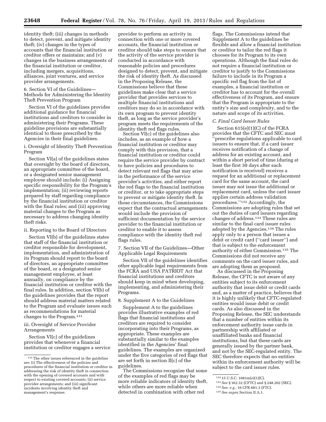identity theft; (iii) changes in methods to detect, prevent, and mitigate identity theft; (iv) changes in the types of accounts that the financial institution or creditor offers or maintains; and (v) changes in the business arrangements of the financial institution or creditor, including mergers, acquisitions, alliances, joint ventures, and service provider arrangements.

6. Section VI of the Guidelines— Methods for Administering the Identity Theft Prevention Program

Section VI of the guidelines provides additional guidance for financial institutions and creditors to consider in administering their Programs. These guideline provisions are substantially identical to those prescribed by the Agencies in their final guidelines.

i. Oversight of Identity Theft Prevention Program

Section VI(a) of the guidelines states that oversight by the board of directors, an appropriate committee of the board, or a designated senior management employee should include: (i) Assigning specific responsibility for the Program's implementation; (ii) reviewing reports prepared by staff regarding compliance by the financial institution or creditor with the final rules; and (iii) approving material changes to the Program as necessary to address changing identity theft risks.

ii. Reporting to the Board of Directors

Section VI(b) of the guidelines states that staff of the financial institution or creditor responsible for development, implementation, and administration of its Program should report to the board of directors, an appropriate committee of the board, or a designated senior management employee, at least annually, on compliance by the financial institution or creditor with the final rules. In addition, section VI(b) of the guidelines provides that the report should address material matters related to the Program and evaluate issues such as recommendations for material changes to the Program.131

iii. Oversight of Service Provider Arrangements

Section VI(c) of the guidelines provides that whenever a financial institution or creditor engages a service

provider to perform an activity in connection with one or more covered accounts, the financial institution or creditor should take steps to ensure that the activity of the service provider is conducted in accordance with reasonable policies and procedures designed to detect, prevent, and mitigate the risk of identity theft. As discussed in the Proposing Release, the Commissions believe that these guidelines make clear that a service provider that provides services to multiple financial institutions and creditors may do so in accordance with its own program to prevent identity theft, as long as the service provider's program meets the requirements of the identity theft red flags rules.

Section VI(c) of the guidelines also includes, as an example of how a financial institution or creditor may comply with this provision, that a financial institution or creditor could require the service provider by contract to have policies and procedures to detect relevant red flags that may arise in the performance of the service provider's activities, and either report the red flags to the financial institution or creditor, or to take appropriate steps to prevent or mitigate identity theft. In those circumstances, the Commissions expect that the contractual arrangements would include the provision of sufficient documentation by the service provider to the financial institution or creditor to enable it to assess compliance with the identity theft red flags rules.

7. Section VII of the Guidelines—Other Applicable Legal Requirements

Section VII of the guidelines identifies other applicable legal requirements from the FCRA and USA PATRIOT Act that financial institutions and creditors should keep in mind when developing, implementing, and administering their Programs.

#### 8. Supplement A to the Guidelines

Supplement A to the guidelines provides illustrative examples of red flags that financial institutions and creditors are required to consider incorporating into their Programs, as appropriate. These examples are substantially similar to the examples identified in the Agencies' final guidelines. The examples are organized under the five categories of red flags that are set forth in section II(c) of the guidelines.

The Commissions recognize that some of the examples of red flags may be more reliable indicators of identity theft, while others are more reliable when detected in combination with other red

flags. The Commissions intend that Supplement A to the guidelines be flexible and allow a financial institution or creditor to tailor the red flags it chooses for its Program to its own operations. Although the final rules do not require a financial institution or creditor to justify to the Commissions failure to include in its Program a specific red flag from the list of examples, a financial institution or creditor has to account for the overall effectiveness of its Program, and ensure that the Program is appropriate to the entity's size and complexity, and to the nature and scope of its activities.

# *C. Final Card Issuer Rules*

Section 615(e)(1)(C) of the FCRA provides that the CFTC and SEC must ''prescribe regulations applicable to card issuers to ensure that, if a card issuer receives notification of a change of address for an existing account, and within a short period of time (during at least the first 30 days after such notification is received) receives a request for an additional or replacement card for the same account, the card issuer may not issue the additional or replacement card, unless the card issuer applies certain address validation procedures.''132 Accordingly, the Commissions are adopting rules that set out the duties of card issuers regarding changes of address.133 These rules are similar to the final card issuer rules adopted by the Agencies.134 The rules apply only to a person that issues a debit or credit card (''card issuer'') and that is subject to the enforcement authority of either Commission.135 The Commissions did not receive any comments on the card issuer rules, and are adopting them as proposed.

As discussed in the Proposing Release, the CFTC is not aware of any entities subject to its enforcement authority that issue debit or credit cards and, as a matter of practice, believes that it is highly unlikely that CFTC-regulated entities would issue debit or credit cards. As also discussed in the Proposing Release, the SEC understands that a number of entities within its enforcement authority issue cards in partnership with affiliated or unaffiliated banks and financial institutions, but that these cards are generally issued by the partner bank, and not by the SEC-regulated entity. The SEC therefore expects that no entities within its enforcement authority will be subject to the card issuer rules.

<sup>131</sup>The other issues referenced in the guideline are: (i) The effectiveness of the policies and procedures of the financial institution or creditor in addressing the risk of identity theft in connection with the opening of covered accounts and with respect to existing covered accounts; (ii) service provider arrangements; and (iii) significant incidents involving identity theft and management's response.

<sup>132</sup> 15 U.S.C. 1681m(e)(1)(C).

<sup>133</sup>*See* § 162.32 (CFTC) and § 248.202 (SEC).

<sup>134</sup>*See, e.g.,* 16 CFR 681.3 (FTC).

<sup>135</sup>*See supra* Section II.A.1.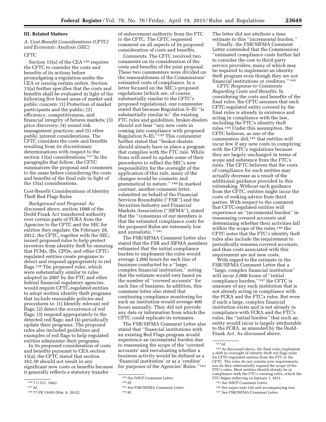# **III. Related Matters**

*A. Cost-Benefit Considerations (CFTC) and Economic Analysis (SEC)* 

# CFTC

Section 15(a) of the CEA 136 requires the CFTC to consider the costs and benefits of its actions before promulgating a regulation under the CEA or issuing certain orders. Section 15(a) further specifies that the costs and benefits shall be evaluated in light of the following five broad areas of market and public concern: (1) Protection of market participants and the public; (2) efficiency, competitiveness, and financial integrity of futures markets; (3) price discovery; (4) sound risk management practices; and (5) other public interest considerations. The CFTC considers the costs and benefits resulting from its discretionary determinations with respect to the section 15(a) considerations.<sup>137</sup> In the paragraphs that follow, the CFTC summarizes the proposal and comments to the same before considering the costs and benefits of the final rule in light of the 15(a) considerations.

Cost-Benefit Considerations of Identity Theft Red Flags Rules

*Background and Proposal.* As discussed above, section 1088 of the Dodd-Frank Act transferred authority over certain parts of FCRA from the Agencies to the CFTC and the SEC for entities they regulate. On February 28, 2012, the CFTC, together with the SEC, issued proposed rules to help protect investors from identity theft by ensuring that FCMs, IBs, CPOs, and other CFTCregulated entities create programs to detect and respond appropriately to red flags.138 The proposed rules, which were substantially similar to rules adopted in 2007 by the FTC and other federal financial regulatory agencies, would require CFTC-regulated entities to adopt written identity theft programs that include reasonable policies and procedures to: (1) Identify relevant red flags; (2) detect the occurrence of red flags; (3) respond appropriately to the detected red flags; and (4) periodically update their programs. The proposed rules also included guidelines and examples of red flags to help regulated entities administer their programs.

In its proposed consideration of costs and benefits pursuant to CEA section 15(a), the CFTC stated that section 162.30 should not result in any significant new costs or benefits because it generally reflects a statutory transfer

of enforcement authority from the FTC to the CFTC. The CFTC requested comment on all aspects of its proposed consideration of costs and benefits.

*Comments.* The CFTC received two comments on its consideration of the costs and benefits of the joint proposal. These two commenters were divided on the reasonableness of the Commissions' estimated costs of compliance. In a letter focused on the SEC's proposed regulations (which are, of course, substantially similar to the CFTC's proposed regulations), one commenter stated that because Regulation S–ID ''is substantially similar to'' the existing FTC rules and guidelines, broker-dealers should not bear ''any new costs in coming into compliance with proposed Regulation S–ID.''139 This commenter further stated that ''broker-dealers should already have in place a program that complies with the FTC rule. While firms will need to update some of their procedures to reflect the SEC's new responsibility for the oversight of the application of this rule, many of the changes would be cosmetic and grammatical in nature.'' 140 In marked contrast, another comment letter, submitted on behalf of the Financial Services Roundtable (''FSR'') and the Securities Industry and Financial Markets Association (''SIFMA''), stated that the ''consensus of our members is that the estimated compliance costs for the proposed Rules are extremely low and unrealistic.'' 141

The FSR/SIFMA Comment Letter also stated that the FSR and SIFMA members estimated that the initial compliance burden to implement the rules would average 2,000 hours for each line of business conducted by a ''large, complex financial institution,'' noting that the estimate would vary based on the number of ''covered accounts'' for each line of business. In addition, this comment letter also stated that continuing compliance monitoring for such an institution would average 400 hours annually. They did not provide any data or information from which the CFTC could replicate its estimates.

The FSR/SIFMA Comment Letter also stated that ''financial institutions with an existing Red Flags program would experience an incremental burden due to reassessing the scope of the 'covered accounts' and reevaluating whether a business activity would be defined as a 'financial institution' or as a 'creditor' for purposes of the Agencies' Rules.''142

The letter did not attribute a time estimate to this ''incremental burden.''

Finally, the FSR/SIFMA Comment Letter contended that the Commissions' ''estimated compliance costs further fail to consider the cost to third-party service providers, many of which may be required to implement an identity theft program even though they are not financial institutions or creditors.'' 143

*CFTC Response to Comments Regarding Costs and Benefits.* In considering the costs and benefits of the final rules, the CFTC assumes that each CFTC-regulated entity covered by the final rules is already in existence and acting in compliance with the law, including the FTC's identity theft rules.144 Under this assumption, the CFTC believes, as one of the commenters did,145 that entities will incur few if any new costs in complying with the CFTC's regulations because they are largely unchanged in terms of scope and substance from the FTC's rules. The CFTC believes that the costs of compliance for such entities may actually decrease as a result of the additional guidance provided in this rulemaking. Without such guidance from the CFTC, entities might incur the costs of seeking advice from third parties. With respect to the comment that CFTC-regulated entities will experience an ''incremental burden'' in reassessing covered accounts and determining whether their activities fall within the scope of the rules,<sup>146</sup> the CFTC notes that the FTC's identity theft rules also include the requirement to periodically reassess covered accounts, and thus costs associated with this requirement are not new costs.

With regard to the estimate in the FSR/SIFMA Comment Letter that a ''large, complex financial institution'' will incur 2,000 hours of ''initial compliance burden,''147 the CFTC is unaware of any such institution that is not already acting in compliance with the FCRA and the FTC's rules. But even if such a large, complex financial institution exists and is not already in compliance with FCRA and the FTC's rules, the ''initial burden'' that such an entity would incur is largely attributable to the FCRA, as amended by the Dodd-Frank Act. As discussed above,

<sup>136</sup> 7 U.S.C. 19(a).

<sup>137</sup> *Id.* 

<sup>138</sup> 77 FR 13450 (Mar. 6, 2012).

<sup>139</sup>*See* NSCP Comment Letter.

<sup>140</sup> *Id.* 

<sup>141</sup>*See* FSR/SIFMA Comment Letter.

<sup>142</sup> *Id.* 

<sup>143</sup> *Id.* 

<sup>144</sup>As discussed above, the final rules implement a shift in oversight of identity theft red flags rules for CFTC-regulated entities from the FTC to the CFTC. The rules do not contain new requirements, nor do they substantially expand the scope of the FTC's rules. Most entities should already be in compliance with the FTC's existing rules, which the FTC began enforcing on January 1, 2011.

<sup>145</sup>*See* NSCP Comment Letter.

<sup>146</sup>*See supra* note 142 and accompanying text.

<sup>147</sup>*See* FSR/SIFMA Comment Letter.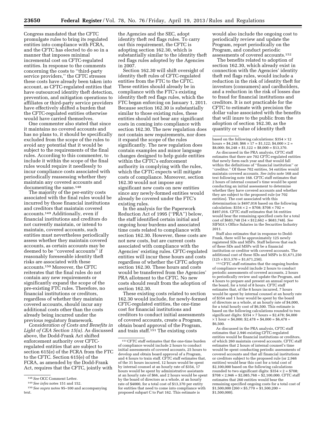Congress mandated that the CFTC promulgate rules to bring its regulated entities into compliance with FCRA, and the CFTC has elected to do so in a manner that imposes minimal incremental cost on CFTC-regulated entities. In response to the comments concerning the costs to ''third-party service providers,'' the CFTC stresses these costs have already been taken into account, as CFTC-regulated entities that have outsourced identity theft detection, prevention, and mitigation operations to affiliates or third-party service providers have effectively shifted a burden that the CFTC-regulated entities otherwise would have carried themselves.

One commenter also stated that since it maintains no covered accounts and has no plans to, it should be specifically excluded from the scope of the rules to avoid any potential that it would be subject to the requirements of the final rules. According to this commenter, to include it within the scope of the final rules would require it needlessly to incur compliance costs associated with periodically reassessing whether they maintain any covered accounts and documenting the same.<sup>148</sup>

The majority of the per-entity costs associated with the final rules would be incurred by those financial institutions and creditors that maintain covered accounts.149 Additionally, even if financial institutions and creditors do not currently maintain, or intend to maintain, covered accounts, such entities must nevertheless periodically assess whether they maintain covered accounts, as certain accounts may be deemed to be ''covered accounts'' if reasonably foreseeable identity theft risks are associated with these accounts.150 Moreover, the CFTC reiterates that the final rules do not contain any new requirements or significantly expand the scope of the pre-existing FTC rules. Therefore, no financial institutions or creditors, regardless of whether they maintain covered accounts, should incur any additional costs other than the costs already being incurred under the previous regulatory framework.

*Consideration of Costs and Benefits in Light of CEA Section 15(a).* As discussed above, the Dodd-Frank Act shifted enforcement authority over CFTCregulated entities that are subject to section 615(e) of the FCRA from the FTC to the CFTC. Section 615(e) of the FCRA, as amended by the Dodd-Frank Act, requires that the CFTC, jointly with

the Agencies and the SEC, adopt identity theft red flags rules. To carry out this requirement, the CFTC is adopting section 162.30, which is substantially similar to the identity theft red flags rules adopted by the Agencies in 2007.

Section 162.30 will shift oversight of identity theft rules of CFTC-regulated entities from the FTC to the CFTC. These entities should already be in compliance with the FTC's existing identity theft red flags rules, which the FTC began enforcing on January 1, 2011. Because section 162.30 is substantially similar to those existing rules, these entities should not bear any significant costs in coming into compliance with section 162.30. The new regulation does not contain new requirements, nor does it expand the scope of the rules significantly. The new regulation does contain examples and minor language changes designed to help guide entities within the CFTC's enforcement authority in complying with the rules, which the CFTC expects will mitigate costs of compliance. Moreover, section 162.30 would not impose any significant new costs on new entities since any newly-formed entities would already be covered under the FTC's existing rules.

In the analysis for the Paperwork Reduction Act of 1995 (''PRA'') below, the staff identified certain initial and ongoing hour burdens and associated time costs related to compliance with section 162.30. However, these costs are not new costs, but are current costs associated with compliance with the Agencies' existing rules. CFTC-regulated entities will incur these hours and costs regardless of whether the CFTC adopts section 162.30. These hours and costs would be transferred from the Agencies' PRA allotment to the CFTC. No new costs should result from the adoption of section 162.30.

These existing costs related to section 162.30 would include, for newly-formed CFTC-regulated entities, the one-time cost for financial institutions and creditors to conduct initial assessments of covered accounts, create a Program, obtain board approval of the Program, and train staff.151 The existing costs

would also include the ongoing cost to periodically review and update the Program, report periodically on the Program, and conduct periodic assessments of covered accounts.152

The benefits related to adoption of section 162.30, which already exist in connection with the Agencies' identity theft red flags rules, would include a reduction in the risk of identity theft for investors (consumers) and cardholders, and a reduction in the risk of losses due to fraud for financial institutions and creditors. It is not practicable for the CFTC to estimate with precision the dollar value associated with the benefits that will inure to the public from the adoption of section 162.30, as the quantity or value of identity theft

based on the following calculations:  $$354 \times 12$ hours =  $$4,248$ ;  $$66 \times 17 = $1,122$ ;  $$4,000 \times 2 =$  $$8,000; $4,248 + $1,122 + $8,000 = $13,370.$ 

As discussed in the PRA analysis, CFTC staff estimates that there are 702 CFTC-regulated entities that newly form each year and that would fall within the definitions of ''financial institution'' or ''creditor.'' Of these 702 entities, 54 entities would maintain covered accounts. *See infra* note 168 and text following note 168. CFTC staff estimates that 2 hours of internal counsel's time would be spent conducting an initial assessment to determine whether they have covered accounts and whether they are subject to the proposed rule (or 702 entities). The cost associated with this determination is \$497,016 based on the following calculation:  $$354 \times 2 = $708$ ;  $$708 \times 702 =$ \$497,016. CFTC staff estimates that 54 entities would bear the remaining specified costs for a total cost of \$683,748 (54 × \$12,662 = \$683,748). *See*  SIFMA's Office Salaries in the Securities Industry 2011.

Staff also estimates that in response to Dodd-Frank, there will be approximately 125 newly registered SDs and MSPs. Staff believes that each of these SDs and MSPs will be a financial institution or creditor with covered accounts. The additional cost of these SDs and MSPs is \$1,671,250  $(125 \times $13.370 = $1.671.250).$ 

152CFTC staff estimates that the ongoing burden of compliance would include 2 hours to conduct periodic assessments of covered accounts, 2 hours to periodically review and update the Program, and 4 hours to prepare and present an annual report to the board, for a total of 8 hours. CFTC staff estimates that, of the 8 hours incurred, 7 hours would be spent by internal counsel at an hourly rate of \$354 and 1 hour would be spent by the board of directors as a whole, at an hourly rate of \$4,000, for a total hourly cost of \$6,500. This estimate is based on the following calculations rounded to two significant digits:  $$354 \times 7$  hours = \$2,478; \$4,000  $\times$  1 hour = \$4,000; \$2,478 + \$4,000 = \$6,478  $\approx$ \$6,500.

As discussed in the PRA analysis, CFTC staff estimates that 2,946 existing CFTC-regulated entities would be financial institutions or creditors, of which 260 maintain covered accounts. CFTC staff estimates that 2 hours of internal counsel's time would be spent conducting periodic assessments of covered accounts and that all financial institutions or creditors subject to the proposed rule (or 2,946 entities) would bear this cost for a total cost of \$2,100,000 based on the following calculations rounded to two significant digits:  $$354 \times 2 = $708;$  $$708 \times 2,946 = $2,085,768 \approx $2,100,000$ . CFTC staff estimates that 260 entities would bear the remaining specified ongoing costs for a total cost of  $$1,500,000$  (260 × \$5,770 = \$1,500,200  $\approx$ \$1,500,000).

<sup>148</sup>*See* OCC Comment Letter.

<sup>149</sup>*See infra* notes 151 and 152. 150*See supra* notes 95–100 and accompanying text.

<sup>151</sup>CFTC staff estimates that the one-time burden of compliance would include 2 hours to conduct initial assessments of covered accounts, 25 hours to develop and obtain board approval of a Program, and 4 hours to train staff. CFTC staff estimates that, of the 31 hours incurred, 12 hours would be spent by internal counsel at an hourly rate of \$354, 17 hours would be spent by administrative assistants at an hourly rate of \$66, and 2 hours would be spent by the board of directors as a whole, at an hourly rate of \$4000, for a total cost of \$13,370 per entity for entities that need to come into compliance with proposed subpart C to Part 162. This estimate is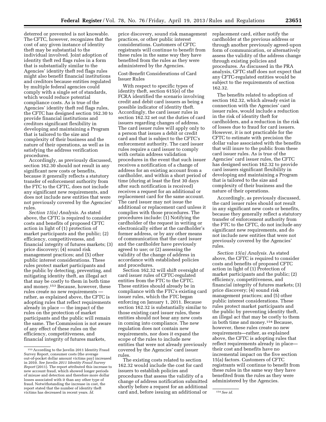deterred or prevented is not knowable. The CFTC, however, recognizes that the cost of any given instance of identity theft may be substantial to the individual involved. Joint adoption of identity theft red flags rules in a form that is substantially similar to the Agencies' identity theft red flags rules might also benefit financial institutions and creditors because entities regulated by multiple federal agencies could comply with a single set of standards, which would reduce potential compliance costs. As is true of the Agencies' identity theft red flags rules, the CFTC has designed section 162.30 to provide financial institutions and creditors significant flexibility in developing and maintaining a Program that is tailored to the size and complexity of their business and the nature of their operations, as well as in satisfying the address verification procedures.

Accordingly, as previously discussed, section 162.30 should not result in any significant new costs or benefits, because it generally reflects a statutory transfer of enforcement authority from the FTC to the CFTC, does not include any significant new requirements, and does not include new entities that were not previously covered by the Agencies' rules.

*Section 15(a) Analysis.* As stated above, the CFTC is required to consider costs and benefits of proposed CFTC action in light of (1) protection of market participants and the public; (2) efficiency, competitiveness, and financial integrity of futures markets; (3) price discovery; (4) sound risk management practices; and (5) other public interest considerations. These rules protect market participants and the public by detecting, preventing, and mitigating identity theft, an illegal act that may be costly to them in both time and money.153 Because, however, these rules create no new requirements rather, as explained above, the CFTC is adopting rules that reflect requirements already in place — the impact of the rules on the protection of market participants and the public will remain the same. The Commission is not aware of any effect of these rules on the efficiency, competitiveness, and financial integrity of futures markets,

price discovery, sound risk management practices, or other public interest considerations. Customers of CFTC registrants will continue to benefit from these rules in the same way they have benefited from the rules as they were administered by the Agencies.

# Cost-Benefit Considerations of Card Issuer Rules

With respect to specific types of identity theft, section 615(e) of the FCRA identified the scenario involving credit and debit card issuers as being a possible indicator of identity theft. Accordingly, the card issuer rules in section 162.32 set out the duties of card issuers regarding changes of address. The card issuer rules will apply only to a person that issues a debit or credit card and that is subject to the CFTC's enforcement authority. The card issuer rules require a card issuer to comply with certain address validation procedures in the event that such issuer receives a notification of a change of address for an existing account from a cardholder, and within a short period of time (during at least the first 30 days after such notification is received) receives a request for an additional or replacement card for the same account. The card issuer may not issue the additional or replacement card unless it complies with those procedures. The procedures include: (1) Notifying the cardholder of the request in writing or electronically either at the cardholder's former address, or by any other means of communication that the card issuer and the cardholder have previously agreed to use; or (2) assessing the validity of the change of address in accordance with established policies and procedures.

Section 162.32 will shift oversight of card issuer rules of CFTC-regulated entities from the FTC to the CFTC. These entities should already be in compliance with the FTC's existing card issuer rules, which the FTC began enforcing on January 1, 2011. Because section 162.32 is substantially similar to those existing card issuer rules, these entities should not bear any new costs in coming into compliance. The new regulation does not contain new requirements, nor does it expand the scope of the rules to include new entities that were not already previously covered by the Agencies' card issuer rules.

victims has decreased in recent years. *Id.* 154*See id.*  card and, before issuing an additional or The existing costs related to section 162.32 would include the cost for card issuers to establish policies and procedures that assess the validity of a change of address notification submitted shortly before a request for an additional

replacement card, either notify the cardholder at the previous address or through another previously agreed-upon form of communication, or alternatively assess the validity of the address change through existing policies and procedures. As discussed in the PRA analysis, CFTC staff does not expect that any CFTC-regulated entities would be subject to the requirements of section 162.32.

The benefits related to adoption of section 162.32, which already exist in connection with the Agencies' card issuer rules, would include a reduction in the risk of identity theft for cardholders, and a reduction in the risk of losses due to fraud for card issuers. However, it is not practicable for the CFTC to estimate with precision the dollar value associated with the benefits that will inure to the public from these card issuer rules. As is true of the Agencies' card issuer rules, the CFTC has designed section 162.32 to provide card issuers significant flexibility in developing and maintaining a Program that is tailored to the size and complexity of their business and the nature of their operations.

Accordingly, as previously discussed, the card issuer rules should not result in any significant new costs or benefits, because they generally reflect a statutory transfer of enforcement authority from the FTC to the CFTC, do not include any significant new requirements, and do not include new entities that were not previously covered by the Agencies' rules.

*Section 15(a) Analysis.* As stated above, the CFTC is required to consider costs and benefits of proposed CFTC action in light of (1) Protection of market participants and the public; (2) efficiency, competitiveness, and financial integrity of futures markets; (3) price discovery; (4) sound risk management practices; and (5) other public interest considerations. These rules protect market participants and the public by preventing identity theft, an illegal act that may be costly to them in both time and money.154 Because, however, these rules create no new requirements—rather, as explained above, the CFTC is adopting rules that reflect requirements already in place their cost and benefits have no incremental impact on the five section 15(a) factors. Customers of CFTC registrants will continue to benefit from these rules in the same way they have benefited from the rules as they were administered by the Agencies.

<sup>153</sup>According to the Javelin 2011 Identity Fraud Survey Report, consumer costs (the average out-of-pocket dollar amount victims pay) increased in 2010. *See Javelin 2011 Identity Fraud Survey Report* (2011). The report attributed this increase to new account fraud, which showed longer periods of misuse and detection and therefore more dollar losses associated with it than any other type of fraud. Notwithstanding the increase in cost, the report stated that the number of identity theft victims has decreased in recent years.  $Id$ .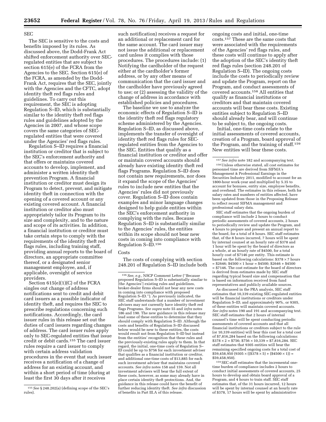### SEC

The SEC is sensitive to the costs and benefits imposed by its rules. As discussed above, the Dodd-Frank Act shifted enforcement authority over SECregulated entities that are subject to section 615(e) of the FCRA from the Agencies to the SEC. Section 615(e) of the FCRA, as amended by the Dodd-Frank Act, requires that the SEC, jointly with the Agencies and the CFTC, adopt identity theft red flags rules and guidelines. To carry out this requirement, the SEC is adopting Regulation S–ID, which is substantially similar to the identity theft red flags rules and guidelines adopted by the Agencies in 2007, and whose scope covers the same categories of SECregulated entities that were covered under the Agencies' red flags rules.

Regulation S–ID requires a financial institution or creditor that is subject to the SEC's enforcement authority and that offers or maintains covered accounts to develop, implement, and administer a written identity theft prevention Program. A financial institution or creditor must design its Program to detect, prevent, and mitigate identity theft in connection with the opening of a covered account or any existing covered account. A financial institution or creditor also must appropriately tailor its Program to its size and complexity, and to the nature and scope of its activities. In addition, a financial institution or creditor must take certain steps to comply with the requirements of the identity theft red flags rules, including training staff, providing annual reports to the board of directors, an appropriate committee thereof, or a designated senior management employee, and, if applicable, oversight of service providers.

Section 615(e)(1)(C) of the FCRA singles out change of address notifications sent to credit and debit card issuers as a possible indicator of identity theft, and requires the SEC to prescribe regulations concerning such notifications. Accordingly, the card issuer rules in this release set out the duties of card issuers regarding changes of address. The card issuer rules apply only to SEC-regulated entities that issue credit or debit cards.155 The card issuer rules require a card issuer to comply with certain address validation procedures in the event that such issuer receives a notification of a change of address for an existing account, and within a short period of time (during at least the first 30 days after it receives

such notification) receives a request for an additional or replacement card for the same account. The card issuer may not issue the additional or replacement card unless it complies with those procedures. The procedures include: (1) Notifying the cardholder of the request either at the cardholder's former address, or by any other means of communication that the card issuer and the cardholder have previously agreed to use; or (2) assessing the validity of the change of address in accordance with established policies and procedures.

The baseline we use to analyze the economic effects of Regulation S–ID is the identity theft red flags regulatory scheme administered by the Agencies. Regulation S–ID, as discussed above, implements the transfer of oversight of identity theft red flags rules for SECregulated entities from the Agencies to the SEC. Entities that qualify as a financial institution or creditor and offer or maintain covered accounts should already have existing identity theft red flags Programs. Regulation S–ID does not contain new requirements, nor does it expand the scope of the Agencies' rules to include new entities that the Agencies' rules did not previously cover. Regulation S–ID does contain examples and minor language changes designed to help guide entities within the SEC's enforcement authority in complying with the rules. Because Regulation S–ID is substantially similar to the Agencies' rules, the entities within its scope should not bear new costs in coming into compliance with Regulation S–ID.156

#### Costs

The costs of complying with section 248.201 of Regulation S–ID include both

156*See, e.g.,* NSCP Comment Letter (''Because proposed Regulation S–ID is substantially similar to [the Agencies'] existing rules and guidelines, broker-dealer firms should not bear any new costs in coming into compliance with proposed Regulation S–ID.''). As previously indicated, the SEC staff understands that a number of investment advisers may not currently have identity theft red flags Programs. *See supra* note 55 and *infra* notes 186 and 190. The new guidance in this release may lead some of these entities to determine that they should comply with Regulation S–ID. Although the costs and benefits of Regulation S–ID discussed below would be new to these entities, the costs would result not from Regulation S–ID but instead from the entities' recognition that these rules and the previously-existing rules apply to them. In that regard, the initial, one-time costs of Regulation S– ID could be up to \$756 for each investment adviser that qualifies as a financial institution or creditor, and additional one-time costs of \$13,885 for each such investment adviser that maintains covered accounts. *See infra* notes 158 and 159. Not all investment advisers will bear the full extent of these costs, however, as some may already have in place certain identity theft protections. And, the guidance in this release could have the benefit of further reducing identity theft. *See infra* discussion of benefits in Part III.A of this release.

ongoing costs and initial, one-time costs.157 These are the same costs that were associated with the requirements of the Agencies' red flags rules, and these costs will continue to apply after the adoption of the SEC's identity theft red flags rules (section 248.201 of Regulation S–ID). The ongoing costs include the costs to periodically review and update the Program, report on the Program, and conduct assessments of covered accounts.158 All entities that qualify as financial institutions or creditors and that maintain covered accounts will bear these costs. Existing entities subject to Regulation S–ID should already bear, and will continue to be subject to, the ongoing costs.

Initial, one-time costs relate to the initial assessments of covered accounts, creation of a Program, board approval of the Program, and the training of staff.159 New entities will bear these costs.

SEC staff estimates that the ongoing burden of compliance will include 2 hours to conduct periodic assessments of covered accounts, 2 hours to periodically review and update the Program, and 4 hours to prepare and present an annual report to the board, for a total of 8 hours. SEC staff estimates that, of the 8 hours incurred, 7 hours will be spent by internal counsel at an hourly rate of \$378 and 1 hour will be spent by the board of directors as a whole, at an hourly rate of \$4500, for a total hourly cost of \$7146 per entity. This estimate is based on the following calculations:  $$378 \times 7$  hours  $= $2646; $4500 \times 1$  hour  $= $4500; $2646 + $4500$ = \$7146. The cost estimate for the board of directors is derived from estimates made by SEC staff regarding typical board size and compensation that is based on information received from fund representatives and publicly available sources.

As discussed in the PRA analysis, SEC staff estimates that 10,339 existing SEC-regulated entities will be financial institutions or creditors under Regulation S–ID, and approximately 90%, or 9305, of these entities will maintain covered accounts. *See infra* notes 190 and 191 and accompanying text. SEC staff estimates that 2 hours of internal counsel's time will be spent conducting periodic assessments of covered accounts and that all financial institutions or creditors subject to the rule (or 10,339 entities) will bear this cost for a total cost of \$7,816,284 based on the following calculations:  $$378 \times 2 = $756$ ;  $$756 \times 10.339 = $7.816.284$ . SEC staff estimates that 9305 entities will bear the remaining specified ongoing costs for a total cost of  $$59,458,950 (9305 \times (($378 \times 5) + ($4500 \times 1)) =$ \$59,458,950).

 $^{159}\rm{SEC}$  staff estimates that the incremental onetime burden of compliance includes 2 hours to conduct initial assessments of covered accounts, 25 hours to develop and obtain board approval of a Program, and 4 hours to train staff. SEC staff estimates that, of the 31 hours incurred, 12 hours will be spent by internal counsel at an hourly rate of \$378, 17 hours will be spent by administrative

<sup>155</sup>*See* § 248.202(a) (defining scope of the SEC's rules).

<sup>157</sup>*See infra* note 182 and accompanying text. 158Unless otherwise stated, all cost estimates for personnel time are derived from SIFMA's Management & Professional Earnings in the Securities Industry 2011, modified to account for an 1800-hour work-year and multiplied by 5.35 to account for bonuses, entity size, employee benefits, and overhead. The estimates in this release, both for salary rates and numbers of entities affected, have been updated from those in the Proposing Release to reflect recent SIFMA management and professional salary data.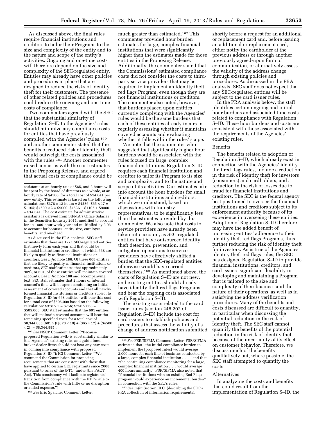much greater than estimated.162 This

As discussed above, the final rules require financial institutions and creditors to tailor their Programs to the size and complexity of the entity and to the nature and scope of the entity's activities. Ongoing and one-time costs will therefore depend on the size and complexity of the SEC-regulated entity. Entities may already have other policies and procedures in place that are designed to reduce the risks of identity theft for their customers. The presence of other related policies and procedures could reduce the ongoing and one-time costs of compliance.

Two commenters agreed with the SEC that the substantial similarity of Regulation S–ID to the Agencies' rules should minimize any compliance costs for entities that have previously complied with the Agencies' rules,160 and another commenter stated that the benefits of reduced risk of identity theft would outweigh the costs associated with the rules.<sup>161</sup> Another commenter raised concerns with the cost estimates in the Proposing Release, and argued that actual costs of compliance could be

As discussed in the PRA analysis, SEC staff estimates that there are 1271 SEC-regulated entities that newly form each year and that could be financial institutions or creditors, of which 668 are likely to qualify as financial institutions or creditors. *See infra* note 186. Of these 668 entities that are likely to qualify as financial institutions or creditors, SEC staff estimates that approximately 90%, or 601, of these entities will maintain covered accounts. *See infra* note 188 and accompanying text. SEC staff estimates that 2 hours of internal counsel's time will be spent conducting an initial assessment of covered accounts and that all newlyformed financial institutions or creditors subject to Regulation S–ID (or 668 entities) will bear this cost for a total cost of \$505,008 based on the following calculation:  $$378 \times 2 = $756$ ;  $$756 \times 668 =$ \$505,008. SEC staff estimates that the 601 entities that will maintain covered accounts will bear the remaining specified costs for a total cost of  $$8,344,885$  (601 × ((\$378 × 10) + (\$65 × 17) + (\$4500  $\times$  2)) = \$8,344,885).

160*See* NSCP Comment Letter (''Because proposed Regulation S–ID is substantially similar to [the Agencies'] existing rules and guidelines, broker-dealer firms should not bear any new costs in coming into compliance with proposed Regulation S–ID.''); ICI Comment Letter (''We commend the Commission for proposing requirements that are consistent with those that have applied to certain SEC registrants since 2008 pursuant to rules of the [FTC] under [the FACT Act]. This consistency will facilitate registrants' transition from compliance with the FTC's rule to the Commission's rule with little or no disruption or added expense.'')

161*See* Eric Speicher Comment Letter.

commenter provided hour burden estimates for large, complex financial institutions that were significantly higher than the estimates made for those entities in the Proposing Release. Additionally, the commenter stated that the Commissions' estimated compliance costs did not consider the costs to thirdparty service providers that may be required to implement an identity theft red flags Program, even though they are not financial institutions or creditors. The commenter also noted, however, that burdens placed upon entities currently complying with the Agencies' rules would be the same burdens that each of these entities already incurs in regularly assessing whether it maintains covered accounts and evaluating whether it falls within the rules' scope.

We note that the commenter who suggested that significantly higher hour burdens would be associated with the rules focused on large, complex financial institutions. Regulation S–ID requires each financial institution and creditor to tailor its Program to its size and complexity, and to the nature and scope of its activities. Our estimates take into account the hour burdens for small financial institutions and creditors, which we understand, based on discussions with industry representatives, to be significantly less than the estimates provided by this commenter. We also note that costs to service providers have already been taken into account, as SEC-regulated entities that have outsourced identity theft detection, prevention, and mitigation operations to service providers have effectively shifted a burden that the SEC-regulated entities otherwise would have carried themselves.163 As mentioned above, the costs of Regulation S–ID are not new, and existing entities should already have identity theft red flags Programs and bear the ongoing costs associated with Regulation S–ID.

The existing costs related to the card issuer rules (section 248.202 of Regulation S–ID) include the cost for card issuers to establish policies and procedures that assess the validity of a change of address notification submitted

163*See infra* Section III.C. (describing the SEC's PRA collection of information requirements).

shortly before a request for an additional or replacement card and, before issuing an additional or replacement card, either notify the cardholder at the previous address or through another previously agreed-upon form of communication, or alternatively assess the validity of the address change through existing policies and procedures. As discussed in the PRA analysis, SEC staff does not expect that any SEC-regulated entities will be subject to the card issuer rules.

In the PRA analysis below, the staff identifies certain ongoing and initial hour burdens and associated time costs related to compliance with Regulation S–ID. These hour burdens and costs are consistent with those associated with the requirements of the Agencies' existing rules.

#### Benefits

The benefits related to adoption of Regulation S–ID, which already exist in connection with the Agencies' identity theft red flags rules, include a reduction in the risk of identity theft for investors (consumers) and cardholders, and a reduction in the risk of losses due to fraud for financial institutions and creditors. The SEC is the federal agency best positioned to oversee the financial institutions and creditors subject to its enforcement authority because of its experience in overseeing these entities. Adoption of Regulation S–ID therefore may have the added benefit of increasing entities' adherence to their identity theft red flags Programs, thus further reducing the risk of identity theft for investors. As is true of the Agencies' identity theft red flags rules, the SEC has designed Regulation S–ID to provide financial institutions, creditors, and card issuers significant flexibility in developing and maintaining a Program that is tailored to the size and complexity of their business and the nature of their operations, as well as in satisfying the address verification procedures. Many of the benefits and costs discussed are difficult to quantify, in particular when discussing the potential reduction in the risk of identity theft. The SEC staff cannot quantify the benefits of the potential reduction in the risk of identity theft because of the uncertainty of its effect on customer behavior. Therefore, we discuss much of the benefits qualitatively but, where possible, the SEC staff attempted to quantify the costs.

# Alternatives

In analyzing the costs and benefits that could result from the implementation of Regulation S–ID, the

assistants at an hourly rate of \$65, and 2 hours will be spent by the board of directors as a whole, at an hourly rate of \$4500, for a total cost of \$14,641 per new entity. This estimate is based on the following calculations:  $$378 \times 12$  hours = \$4536; \$65  $\times 17$  =  $$1105; $4500 \times 2 = $9000; $4536 + $1105 + $9000$ = \$14,641. The cost estimate for administrative assistants is derived from SIFMA's Office Salaries in the Securities Industry 2011, modified to account for an 1800-hour work-year and multiplied by 2.93 to account for bonuses, entity size, employee benefits, and overhead.

<sup>162</sup>*See* FSR/SIFMA Comment Letter. FSR/SIFMA estimated that ''the initial compliance burden to implement the [proposed rules] would average 2,000 hours for each line of business conducted by a large, complex financial institution . . .'' and that ''the continuing compliance monitoring for a large, complex financial institution . . . would average 400 hours annually.'' FSR/SIFMA also noted that ''financial institutions with an existing Red Flags program would experience an incremental burden'' in connection with the SEC's rules.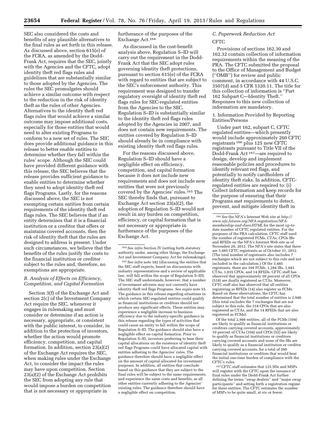SEC also considered the costs and benefits of any plausible alternatives to the final rules as set forth in this release. As discussed above, section 615(e) of the FCRA, as amended by the Dodd-Frank Act, requires that the SEC, jointly with the Agencies and the CFTC, adopt identity theft red flags rules and guidelines that are substantially similar to those adopted by the Agencies. The rules the SEC promulgates should achieve a similar outcome with respect to the reduction in the risk of identity theft as the rules of other Agencies. Alternatives to the identity theft red flags rules that would achieve a similar outcome may impose additional costs, especially for those entities that would need to alter existing Programs to conform to a new set of rules. The SEC does provide additional guidance in this release to better enable entities to determine whether they fall within the rules' scope. Although the SEC could have provided different guidance with this release, the SEC believes that the release provides sufficient guidance to enable entities to determine whether they need to adopt identity theft red flags Programs. Lastly, for the reasons discussed above, the SEC is not exempting certain entities from certain requirements of the identity theft red flags rules. The SEC believes that if an entity determines that it is a financial institution or a creditor that offers or maintains covered accounts, then the risk of identity theft that the rules are designed to address is present. Under such circumstances, we believe that the benefits of the rules justify the costs to the financial institution or creditor subject to the rules and, therefore, no exemptions are appropriate.

# *B. Analysis of Effects on Efficiency, Competition, and Capital Formation*

Section 3(f) of the Exchange Act and section 2(c) of the Investment Company Act require the SEC, whenever it engages in rulemaking and must consider or determine if an action is necessary, appropriate, or consistent with the public interest, to consider, in addition to the protection of investors, whether the action would promote efficiency, competition, and capital formation. In addition, section 23(a)(2) of the Exchange Act requires the SEC, when making rules under the Exchange Act, to consider the impact the rules may have upon competition. Section 23(a)(2) of the Exchange Act prohibits the SEC from adopting any rule that would impose a burden on competition that is not necessary or appropriate in

furtherance of the purposes of the Exchange Act.164

As discussed in the cost-benefit analysis above, Regulation S–ID will carry out the requirement in the Dodd-Frank Act that the SEC adopt rules governing identity theft protections, pursuant to section 615(e) of the FCRA with regard to entities that are subject to the SEC's enforcement authority. This requirement was designed to transfer regulatory oversight of identity theft red flags rules for SEC-regulated entities from the Agencies to the SEC. Regulation S–ID is substantially similar to the identity theft red flags rules adopted by the Agencies in 2007, and does not contain new requirements. The entities covered by Regulation S–ID should already be in compliance with existing identity theft red flags rules.

For the reasons discussed above, Regulation S–ID should have a negligible effect on efficiency, competition, and capital formation because it does not include new requirements and does not include new entities that were not previously covered by the Agencies' rules.165 The SEC thereby finds that, pursuant to Exchange Act section 23(a)(2), the adoption of Regulation S–ID would not result in any burden on competition, efficiency, or capital formation that is not necessary or appropriate in furtherance of the purposes of the Exchange Act.

165*See infra* note 182 (discussing the entities that the SEC staff expects, based on discussions with industry representatives and a review of applicable law, will fall within the scope of Regulation S–ID). The SEC staff understands, however, that a number of investment advisers may not currently have identity theft red flags Programs. *See supra* note 55. The guidance in this release regarding situations in which certain SEC-regulated entities could qualify as financial institutions or creditors should not produce any significant effects. These entities may experience a negligible increase to business efficiency due to the industry-specific guidance in this release regarding the types of activities that could cause an entity to fall within the scope of Regulation S–ID. The guidance should also have a negligible effect on capital formation. Prior to Regulation S–ID, investors preferring to base their capital allocations on the existence of identity theft red flags Programs could have allocated capital with entities adhering to the Agencies' rules. The guidance therefore should have a negligible effect on the amount of capital allocated for investment purposes. In addition, all entities that conclude based on this guidance that they are subject to the final rules will be subject to the same requirements, and experience the same costs and benefits, as all other entities currently adhering to the Agencies' existing rules. The guidance therefore should have a negligible effect on competition.

*C. Paperwork Reduction Act*  CFTC

Provisions of sections 162.30 and 162.32 contain collection of information requirements within the meaning of the PRA. The CFTC submitted the proposal to the Office of Management and Budget (''OMB'') for review and public comment, in accordance with 44 U.S.C. 3507(d) and 5 CFR 1320.11. The title for this collection of information is ''Part 162 Subpart C—Identity Theft.'' Responses to this new collection of information are mandatory.

1. Information Provided by Reporting Entities/Persons

Under part 162, subpart C, CFTC regulated entities—which presently would include approximately 260 CFTC registrants 166 plus 125 new CFTC registrants pursuant to Title VII of the Dodd-Frank Act 167—are required to design, develop and implement reasonable policies and procedures to identify relevant red flags, and potentially to notify cardholders of identity theft risks. In addition, CFTCregulated entities are required to: (i) Collect information and keep records for the purpose of ensuring that their Programs met requirements to detect, prevent, and mitigate identity theft in

Of the total 2,946 entities, all of the FCMs (104) are likely to qualify as financial institutions or creditors carrying covered accounts, approximately 10 percent of CTAs (104) and CPOs (52) are likely to qualify as financial institutions or creditors carrying covered accounts and none of the IBs are likely to qualify as a financial institution or creditor carrying covered accounts, for a total of 260 financial institutions or creditors that would bear the initial one-time burden of compliance with the CFTC's rules.

167CFTC staff estimates that 125 SDs and MSPs will register with the CFTC upon the issuance of final rules under the Dodd-Frank Act further defining the terms ''swap dealers'' and ''major swap participants'' and setting forth a registration regime for these entities. The CFTC estimates the number of MSPs to be quite small, at six or fewer.

<sup>164</sup>*See infra* Section IV (setting forth statutory authority under, among other things, the Exchange Act and Investment Company Act for rulemakings).

<sup>166</sup>*See* the NFA's Internet Web site at *[http://](http://www.nfa.futures.org/NFA-registration/NFA-membership-and-dues.HTML)  [www.nfa.futures.org/NFA-registration/NFA](http://www.nfa.futures.org/NFA-registration/NFA-membership-and-dues.HTML)[membership-and-dues.HTML](http://www.nfa.futures.org/NFA-registration/NFA-membership-and-dues.HTML)* for the most up-todate number of CFTC regulated entities. For the purposes of the PRA calculation, CFTC staff used the number of registered FCMs, CTAs, CPOs IBs and RFEDs on the NFA's Internet Web site as of November 20, 2012. The NFA's site states that there are 3,485 CFTC registrants as of October 31, 2012. (The total number of registrants also includes 7 exchanges which are not subject to this rule and not included in the calculation.) Of the 3,485 registrants, there are 104 FCMs, 1,284 IBs, 1,041 CTAs, 1,035 CPOs, and 14 RFEDs. CFTC staff has observed that approximately 50 percent of all CPOs (518) are dually registered as CTAs. Moreover, CFTC staff also has observed that all entities registering as RFEDs (14) also register as FCMs. Based on these observations, the CFTC has determined that the total number of entities is 2,946 (this total excludes the 7 exchanges that are not subject to this rule, the 518 CPOs that are also registered as CTAs, and the 14 RFEDs that are also registered as FCMs).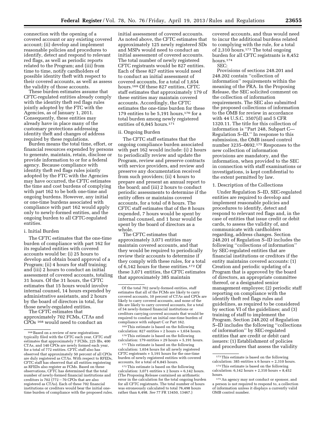connection with the opening of a covered account or any existing covered account; (ii) develop and implement reasonable policies and procedures to identify, detect and respond to relevant red flags, as well as periodic reports related to the Program; and (iii) from time to time, notify cardholders of possible identity theft with respect to their covered accounts, as well as assess the validity of those accounts.

These burden estimates assume that CFTC-regulated entities already comply with the identity theft red flags rules jointly adopted by the FTC with the Agencies, as of January 1, 2011. Consequently, these entities may already have in place many of the customary protections addressing identity theft and changes of address required by these regulations.

Burden means the total time, effort, or financial resources expended by persons to generate, maintain, retain, disclose or provide information to or for a federal agency. Because compliance with identity theft red flags rules jointly adopted by the FTC with the Agencies may have occurred, the CFTC estimates the time and cost burdens of complying with part 162 to be both one-time and ongoing burdens. However, any initial or one-time burdens associated with compliance with part 162 would apply only to newly-formed entities, and the ongoing burden to all CFTC-regulated entities.

# i. Initial Burden

The CFTC estimates that the one-time burden of compliance with part 162 for its regulated entities with covered accounts would be: (i) 25 hours to develop and obtain board approval of a Program; (ii) 4 hours for staff training; and (iii) 2 hours to conduct an initial assessment of covered accounts, totaling 31 hours. Of the 31 hours, the CFTC estimates that 15 hours would involve internal counsel, 14 hours expended by administrative assistants, and 2 hours by the board of directors in total, for those newly-regulated entities.

The CFTC estimates that approximately 702 FCMs, CTAs and CPOs 168 would need to conduct an

initial assessment of covered accounts. As noted above, the CFTC estimates that approximately 125 newly registered SDs and MSPs would need to conduct an initial assessment of covered accounts. The total number of newly registered CFTC registrants would be 827 entities. Each of these 827 entities would need to conduct an initial assessment of covered accounts, for a total of 1,654 hours.169 Of these 827 entities, CFTC staff estimates that approximately 179 of these entities may maintain covered accounts. Accordingly, the CFTC estimates the one-time burden for these 179 entities to be  $5,191$  hours,<sup>170</sup> for a total burden among newly registered entities of 6,845 hours.171

# ii. Ongoing Burden

The CFTC staff estimates that the ongoing compliance burden associated with part 162 would include: (i) 2 hours to periodically review and update the Program, review and preserve contracts with service providers, and review and preserve any documentation received from such providers; (ii) 4 hours to prepare and present an annual report to the board; and (iii) 2 hours to conduct periodic assessments to determine if the entity offers or maintains covered accounts, for a total of 8 hours. The CFTC staff estimates that of the 8 hours expended, 7 hours would be spent by internal counsel, and 1 hour would be spent by the board of directors as a whole.

The CFTC estimates that approximately 3,071 entities may maintain covered accounts, and that they would be required to periodically review their accounts to determine if they comply with these rules, for a total of 6,142 hours for these entities.172 Of these 3,071 entities, the CFTC estimates that approximately 385 maintain

169This estimate is based on the following calculation: 827 entities  $\times$  2 hours = 1,654 hours.

170This estimate is based on the following calculation: 179 entities  $\times$  29 hours = 5,191 hours.

171This estimate is based on the following calculation: 1,654 hours for all newly registered CFTC registrants + 5,191 hours for the one-time burden of newly registered entities with covered accounts, for a total of 6,845 hours.

172This estimate is based on the following calculation:  $3,071$  entities x 2 hours =  $6,142$  hours. (The Proposing Release contained an arithmetic error in the calculation for the total ongoing burden for all CFTC registrants. The total number of hours was erroneously calculated to total 76,498 hours rather than 6,498. *See* 77 FR 13450, 13467.)

covered accounts, and thus would need to incur the additional burdens related to complying with the rule, for a total of 2,310 hours.<sup>173</sup> The total ongoing burden for all CFTC registrants is 8,452 hours.174

#### SEC:

Provisions of sections 248.201 and 248.202 contain ''collection of information'' requirements within the meaning of the PRA. In the Proposing Release, the SEC solicited comment on the collection of information requirements. The SEC also submitted the proposed collections of information to the OMB for review in accordance with 44 U.S.C. 3507(d) and 5 CFR 1320.11. The title for this collection of information is ''Part 248, Subpart C— Regulation S–ID.'' In response to this submission, the OMB issued control number 3235–0692.175 Responses to the new collection of information provisions are mandatory, and the information, when provided to the SEC in connection with staff examinations or investigations, is kept confidential to the extent permitted by law.

#### 1. Description of the Collections

Under Regulation S–ID, SEC-regulated entities are required to develop and implement reasonable policies and procedures to identify, detect and respond to relevant red flags and, in the case of entities that issue credit or debit cards, to assess the validity of, and communicate with cardholders regarding, address changes. Section 248.201 of Regulation S–ID includes the following ''collections of information'' by SEC-regulated entities that are financial institutions or creditors if the entity maintains covered accounts: (1) Creation and periodic updating of a Program that is approved by the board of directors, an appropriate committee thereof, or a designated senior management employee; (2) periodic staff reporting on compliance with the identify theft red flags rules and guidelines, as required to be considered by section VI of the guidelines; and (3) training of staff to implement the Program. Section 248.202 of Regulation S–ID includes the following ''collections of information'' by SEC-regulated entities that are credit or debit card issuers: (1) Establishment of policies and procedures that assess the validity

<sup>168</sup>Based on a review of new registrations typically filed with the CFTC each year, CFTC staff estimates that approximately 7 FCMs, 225 IBs, 400 CTAs, and 140 CPOs are newly formed each year, for a total of 772 entities. CFTC staff also has observed that approximately 50 percent of all CPOs are duly registered as CTAs. With respect to RFEDs, CFTC staff has observed that all entities registering as RFEDs also register as FCMs. Based on these observations, CFTC has determined that the total number of newly-formed financial institutions and creditors is  $702 (772 - 70 \text{ CPOs}$  that are also registered as CTAs). Each of these 702 financial institutions or creditors would bear the initial onetime burden of compliance with the proposed rules.

Of the total 702 newly-formed entities, staff estimates that all of the FCMs are likely to carry covered accounts, 10 percent of CTAs and CPOs are likely to carry covered accounts, and none of the IBs are likely to carry covered accounts, for a total of 54 newly-formed financial institutions or creditors carrying covered accounts that would be required to conduct an initial one-time burden of compliance with subpart C or Part 162.

<sup>173</sup>This estimate is based on the following calculation: 385 entities  $x$  6 hours = 2,310 hours.

<sup>174</sup>This estimate is based on the following calculation: 6,142 hours + 2,310 hours = 8,452 hours.

<sup>175</sup>An agency may not conduct or sponsor, and a person is not required to respond to, a collection of information unless it displays a currently valid OMB control number.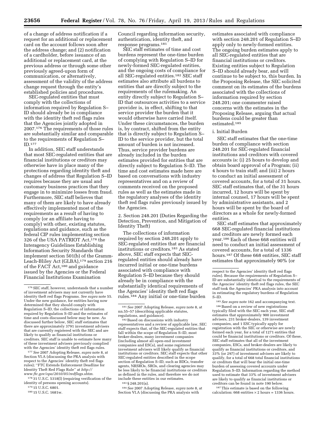of a change of address notification if a request for an additional or replacement card on the account follows soon after the address change; and (2) notification of a cardholder, before issuance of an additional or replacement card, at the previous address or through some other previously agreed-upon form of communication, or alternatively, assessment of the validity of the address change request through the entity's established policies and procedures.

SEC-regulated entities that must comply with the collections of information required by Regulation S– ID should already be in compliance with the identity theft red flags rules that the Agencies jointly adopted in 2007.176 The requirements of those rules are substantially similar and comparable to the requirements of Regulation S– ID.177

In addition, SEC staff understands that most SEC-regulated entities that are financial institutions or creditors may otherwise have in place many of the protections regarding identity theft and changes of address that Regulation S–ID requires because they are usual and customary business practices that they engage in to minimize losses from fraud. Furthermore, SEC staff believes that many of them are likely to have already effectively implemented most of the requirements as a result of having to comply (or an affiliate having to comply) with other, existing statutes, regulations and guidance, such as the federal CIP rules implementing section 326 of the USA PATRIOT Act,178 the Interagency Guidelines Establishing Information Security Standards that implement section 501(b) of the Gramm-Leach-Bliley Act (GLBA),179 section 216 of the FACT Act,<sup>180</sup> and guidance issued by the Agencies or the Federal Financial Institutions Examination

177*See* 2007 Adopting Release, *supra* note 8, at Section VI.A (discussing the PRA analysis with respect to the Agencies' identity theft red flags rules); ''FTC Extends Enforcement Deadline for Identity Theft Red Flags Rule'' at *[http://](http://www.ftc.gov/opa/2010/05/redflags.shtm) [www.ftc.gov/opa/2010/05/redflags.shtm.](http://www.ftc.gov/opa/2010/05/redflags.shtm)* 

178 31 U.S.C. 5318(l) (requiring verification of the identity of persons opening accounts).

- 179 15 U.S.C. 6801.
- 180 15 U.S.C. 1681w.

Council regarding information security, authentication, identity theft, and response programs.181

SEC staff estimates of time and cost burdens represent the one-time burden of complying with Regulation S–ID for newly-formed SEC-regulated entities, and the ongoing costs of compliance for all SEC-regulated entities.182 SEC staff estimates also attribute all burdens to entities that are directly subject to the requirements of the rulemaking. An entity directly subject to Regulation S– ID that outsources activities to a service provider is, in effect, shifting to that service provider the burden that it would otherwise have carried itself. Under these circumstances, the burden is, by contract, shifted from the entity that is directly subject to Regulation S– ID to the service provider, but the total amount of burden is not increased. Thus, service provider burdens are already included in the burden estimates provided for entities that are directly subject to Regulation S–ID. The time and cost estimates made here are based on conversations with industry representatives and on a review of comments received on the proposed rules as well as the estimates made in the regulatory analyses of the identity theft red flags rules previously issued by the Agencies.

2. Section 248.201 (Duties Regarding the Detection, Prevention, and Mitigation of Identity Theft)

The collections of information required by section 248.201 apply to SEC-regulated entities that are financial institutions or creditors.183 As stated above, SEC staff expects that SECregulated entities should already have incurred initial or one-time burdens associated with compliance with Regulation S–ID because they should already be in compliance with the substantially identical requirements of the Agencies' identity theft red flags rules.184 Any initial or one-time burden

<sup>182</sup> Based on discussions with industry representatives and a review of applicable law, SEC staff expects that, of the SEC-regulated entities that fall within the scope of Regulation S–ID, most broker-dealers, many investment companies (including almost all open-end investment companies and ESCs), and some registered investment advisers will likely qualify as financial institutions or creditors. SEC staff expects that other SEC-regulated entities described in the scope section of Regulation S–ID, such as BDCs, transfer agents, NRSROs, SROs, and clearing agencies may be less likely to be financial institutions or creditors as defined in the rules, and therefore we do not include these entities in our estimates.

183 § 248.201(a).

184*See* 2007 Adopting Release, *supra* note 8, at Section VI.A (discussing the PRA analysis with

estimates associated with compliance with section 248.201 of Regulation S–ID apply only to newly-formed entities. The ongoing burden estimates apply to all SEC-regulated entities that are financial institutions or creditors. Existing entities subject to Regulation S–ID should already bear, and will continue to be subject to, this burden. In the Proposing Release, the SEC solicited comment on its estimates of the burdens associated with the collections of information required by section 248.201; one commenter raised concerns with the estimates in the Proposing Release, arguing that actual burdens could be greater than estimated.185

# i. Initial Burden

SEC staff estimates that the one-time burden of compliance with section 248.201 for SEC-regulated financial institutions and creditors with covered accounts is: (i) 25 hours to develop and obtain board approval of a Program; (ii) 4 hours to train staff; and (iii) 2 hours to conduct an initial assessment of covered accounts, for a total of 31 hours. SEC staff estimates that, of the 31 hours incurred, 12 hours will be spent by internal counsel, 17 hours will be spent by administrative assistants, and 2 hours will be spent by the board of directors as a whole for newly-formed entities.

SEC staff estimates that approximately 668 SEC-regulated financial institutions and creditors are newly formed each year.186 Each of these 668 entities will need to conduct an initial assessment of covered accounts, for a total of 1336 hours.187 Of these 668 entities, SEC staff estimates that approximately 90% (or

185*See supra* note 162 and accompanying text. 186Based on a review of new registrations typically filed with the SEC each year, SEC staff estimates that approximately 900 investment advisers, 231 broker-dealers, 139 investment companies, and 1 ESC typically apply for registration with the SEC or otherwise are newly formed each year, for a total of 1271 entities that could be financial institutions or creditors. Of these, SEC staff estimates that all of the investment companies, ESCs, and broker-dealers are likely to qualify as financial institutions or creditors, and 33% (or 297) of investment advisers are likely to qualify, for a total of 668 total financial institutions or creditors that will bear the initial one-time burden of assessing covered accounts under Regulation S–ID. Information regarding the method used to estimate that 33% of investment advisers are likely to qualify as financial institutions or creditors can be found in note 190 below.

187This estimate is based on the following calculation:  $668$  entities  $\times$  2 hours = 1336 hours.

<sup>176</sup> SEC staff, however, understands that a number of investment advisers may not currently have identity theft red flags Programs. *See supra* note 55. Under the new guidance, for entities having now determined that they should comply with Regulation S–ID, the collections of information required by Regulation S–ID and the estimates of time and costs discussed below may be new. As discussed further below, SEC staff estimates that there are approximately 3791 investment advisers that are currently registered with the SEC and are likely to qualify as financial institutions or creditors. SEC staff is unable to estimate how many of these investment advisers previously complied with the Agencies' identity theft red flags rules.

<sup>181</sup>*See* 2007 Adopting Release, *supra* note 8, at nn.55–57 (describing applicable statutes,

respect to the Agencies' identity theft red flags rules). Because the requirements of Regulation S– ID are substantially identical to the requirements of the Agencies' identity theft red flags rules, the SEC staff took the Agencies' PRA analysis into account in estimating the regulatory burdens of Regulation S–ID.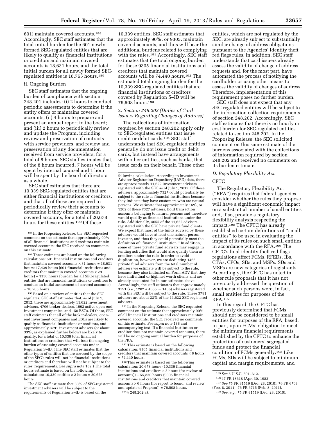601) maintain covered accounts.188 Accordingly, SEC staff estimates that the total initial burden for the 601 newly formed SEC-regulated entities that are likely to qualify as financial institutions or creditors and maintain covered accounts is 18,631 hours, and the total initial burden for all newly formed SECregulated entities is 18,765 hours.189

# ii. Ongoing Burden

SEC staff estimates that the ongoing burden of compliance with section 248.201 includes: (i) 2 hours to conduct periodic assessments to determine if the entity offers or maintains covered accounts; (ii) 4 hours to prepare and present an annual report to the board; and (iii) 2 hours to periodically review and update the Program, including review and preservation of contracts with service providers, and review and preservation of any documentation received from service providers, for a total of 8 hours. SEC staff estimates that, of the 8 hours incurred, 7 hours will be spent by internal counsel and 1 hour will be spent by the board of directors as a whole.

SEC staff estimates that there are 10,339 SEC-regulated entities that are either financial institutions or creditors, and that all of these are required to periodically review their accounts to determine if they offer or maintain covered accounts, for a total of 20,678 hours for these entities.190 Of these

189These estimates are based on the following calculations: 601 financial institutions and creditors that maintain covered accounts  $\times$  31 hours = 18,631 hours; 17,429 hours (601 financial institutions and creditors that maintain covered accounts x 29 hours) + 1336 hours (burden for all SEC-regulated entities that are financial institutions or creditors to conduct an initial assessment of covered accounts) = 18,765 hours.

190Based on a review of entities that the SEC regulates, SEC staff estimates that, as of July 1, 2012, there are approximately 11,622 investment advisers, 4706 broker-dealers, 1692 active open-end investment companies, and 150 ESCs. Of these, SEC staff estimates that all of the broker-dealers, openend investment companies and ESCs are likely to qualify as financial institutions or creditors, and approximately 3791 investment advisers (or about 33%, as explained further below) are likely to qualify, for a total of 10,339 total financial institutions or creditors that will bear the ongoing burden of assessing covered accounts under Regulation S–ID. (The SEC staff estimates that the other types of entities that are covered by the scope of the SEC's rules will not be financial institutions or creditors and therefore will not be subject to the rules' requirements. *See supra* note 182.) The total hours estimate is based on the following calculation: 10,339 entities  $\times$  2 hours = 20,678 hours.

The SEC staff estimate that 33% of SEC-registered investment advisers will be subject to the requirements of Regulation S–ID is based on the

10,339 entities, SEC staff estimates that approximately 90%, or 9305, maintain covered accounts, and thus will bear the additional burdens related to complying with the rules.191 Accordingly, SEC staff estimates that the total ongoing burden for these 9305 financial institutions and creditors that maintain covered accounts will be 74,440 hours.192 The estimated total ongoing burden for the 10,339 SEC-regulated entities that are financial institutions or creditors covered by Regulation S–ID will be 76,508 hours.193

# 2. *Section 248.202 (Duties of Card Issuers Regarding Changes of Address).*

The collections of information required by section 248.202 apply only to SEC-regulated entities that issue credit or debit cards.194 SEC staff understands that SEC-regulated entities generally do not issue credit or debit cards, but instead have arrangements with other entities, such as banks, that issue cards on their behalf. These other

191 In the Proposing Release, the SEC requested comment on the estimate that approximately 90% of all financial institutions and creditors maintain covered accounts; the SEC received no comments on this estimate. *See supra* note 188 and accompanying text. If a financial institution or creditor does not maintain covered accounts, there will be no ongoing annual burden for purposes of the PRA.

192This estimate is based on the following calculation: 9305 financial institutions and creditors that maintain covered accounts  $\times$  8 hours  $= 74.440$  hours.

193This estimate is based on the following calculation: 20,678 hours (10,339 financial institutions and creditors  $\times$  2 hours (for review of accounts)) + 55,830 hours (9305 financial institutions and creditors that maintain covered  $\arccos x \times 6$  hours (for report to board, and review and update of Program)) = 76,508 hours. 194 § 248.202(a).

entities, which are not regulated by the SEC, are already subject to substantially similar change of address obligations pursuant to the Agencies' identity theft red flags rules. In addition, SEC staff understands that card issuers already assess the validity of change of address requests and, for the most part, have automated the process of notifying the cardholder or using other means to assess the validity of changes of address. Therefore, implementation of this requirement poses no further burden.

SEC staff does not expect that any SEC-regulated entities will be subject to the information collection requirements of section 248.202. Accordingly, SEC staff estimates that there is no hourly or cost burden for SEC-regulated entities related to section 248.202. In the Proposing Release, the SEC solicited comment on this same estimate of the burdens associated with the collections of information required by section 248.202 and received no comments on its burden estimate.

# *D. Regulatory Flexibility Act*

#### CFTC

The Regulatory Flexibility Act (''RFA'') requires that federal agencies consider whether the rules they propose will have a significant economic impact on a substantial number of small entities and, if so, provide a regulatory flexibility analysis respecting the impact.195 The CFTC has already established certain definitions of ''small entities'' to be used in evaluating the impact of its rules on such small entities in accordance with the RFA.196 The CFTC's final identity theft red flags regulations affect FCMs, RFEDs, IBs, CTAs, CPOs, SDs, and MSPs. SDs and MSPs are new categories of registrants. Accordingly, the CFTC has noted in other rule proposals that it has not previously addressed the question of whether such persons were, in fact, small entities for purposes of the RFA.197

In this regard, the CFTC has previously determined that FCMs should not be considered to be small entities for purposes of the RFA, based, in part, upon FCMs' obligation to meet the minimum financial requirements established by the CFTC to enhance the protection of customers' segregated funds and protect the financial condition of FCMs generally.198 Like FCMs, SDs will be subject to minimum capital and margin requirements, and

<sup>188</sup> In the Proposing Release, the SEC requested comment on the estimate that approximately 90% of all financial institutions and creditors maintain covered accounts; the SEC received no comments on this estimate.

following calculation. According to Investment Adviser Registration Depository (IARD) data, there are approximately 11,622 investment advisers registered with the SEC as of July 1, 2012. Of these advisers, approximately 7327 could potentially be subject to the rule as financial institutions because they indicate they have customers who are natural persons. We estimate that approximately 16%, or 1202 of these 7327 advisers, hold transaction accounts belonging to natural persons and therefore would qualify as financial institutions under the rule. Additionally, 4055 of the 11,622 advisers registered with the SEC have private fund clients. We expect that most of the funds advised by these advisers would have at least one natural person investor, and thus they could potentially meet the definition of ''financial institution.'' In addition, some of these private fund advisers may engage in lending activities that would also qualify them as creditors under the rule. In order to avoid duplication, however, we are deducting 1466 private fund advisers from the total number of advisers we estimate will be subject to the rule, because they also indicated on Form ADV that they have individual or high net worth clients and are already accounted for in our estimates above. Accordingly, the staff estimates that approximately 3791 (*i.e.*, 1202 + 4055 - 1466) advisers registered with the SEC will be subject to the rule. These 3791 advisers are about 33% of the 11,622 SEC-registered advisers.

<sup>195</sup>*See* 5 U.S.C. 601–612.

<sup>196</sup> 47 FR 18618 (Apr. 30, 1982).

<sup>197</sup>*See* 75 FR 81519 (Dec. 28, 2010); 76 FR 6708 (Feb. 8, 2011); 76 FR 6715 (Feb. 8, 2011).

<sup>198</sup>*See, e.g.,* 75 FR 81519 (Dec. 28, 2010).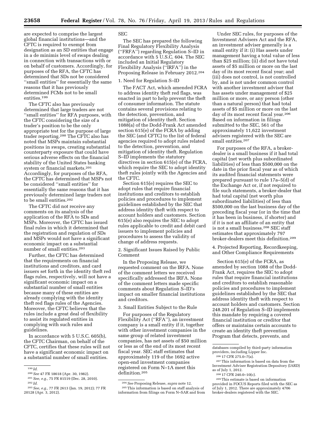are expected to comprise the largest global financial institutions—and the CFTC is required to exempt from designation as an SD entities that engage in a de minimis level of swaps dealing in connection with transactions with or on behalf of customers. Accordingly, for purposes of the RFA, the CFTC has determined that SDs not be considered ''small entities'' for essentially the same reasons that it has previously determined FCMs not to be small entities.199

The CFTC also has previously determined that large traders are not ''small entities'' for RFA purposes, with the CFTC considering the size of a trader's position to be the only appropriate test for the purpose of large trader reporting.200 The CFTC also has noted that MSPs maintain substantial positions in swaps, creating substantial counterparty exposure that could have serious adverse effects on the financial stability of the United States banking system or financial markets.201 Accordingly, for purposes of the RFA, the CFTC has determined that MSPs not be considered ''small entities'' for essentially the same reasons that it has previously determined large traders not to be small entities.202

The CFTC did not receive any comments on its analysis of the application of the RFA to SDs and MSPs. Moreover, the CFTC has issued final rules in which it determined that the registration and regulation of SDs and MSPs would not have a significant economic impact on a substantial number of small entities.203

Further, the CFTC has determined that the requirements on financial institutions and creditors, and card issuers set forth in the identity theft red flags rules, respectively, will not have a significant economic impact on a substantial number of small entities because many of these entities are already complying with the identity theft red flags rules of the Agencies. Moreover, the CFTC believes that the rules include a great deal of flexibility to assist its regulated entities in complying with such rules and guidelines.

In accordance with 5 U.S.C. 605(b), the CFTC Chairman, on behalf of the CFTC, certifies that these rules will not have a significant economic impact on a substantial number of small entities.

# SEC

The SEC has prepared the following Final Regulatory Flexibility Analysis (''FRFA'') regarding Regulation S–ID in accordance with 5 U.S.C. 604. The SEC included an Initial Regulatory Flexibility Analysis (''IRFA'') in the Proposing Release in February 2012.204

#### 1. Need for Regulation S–ID

The FACT Act, which amended FCRA to address identity theft red flags, was enacted in part to help prevent the theft of consumer information. The statute contains several provisions relating to the detection, prevention, and mitigation of identity theft. Section 1088(a) of the Dodd-Frank Act amended section 615(e) of the FCRA by adding the SEC (and CFTC) to the list of federal agencies required to adopt rules related to the detection, prevention, and mitigation of identity theft. Regulation S–ID implements the statutory directives in section 615(e) of the FCRA, which require the SEC to adopt identity theft rules jointly with the Agencies and the CFTC.

Section 615(e) requires the SEC to adopt rules that require financial institutions and creditors to establish policies and procedures to implement guidelines established by the SEC that address identity theft with respect to account holders and customers. Section 615(e) also requires the SEC to adopt rules applicable to credit and debit card issuers to implement policies and procedures to assess the validity of change of address requests.

2. Significant Issues Raised by Public Comment

In the Proposing Release, we requested comment on the IRFA. None of the comment letters we received specifically addressed the IRFA. None of the comment letters made specific comments about Regulation S–ID's impact on smaller financial institutions and creditors.

3. Small Entities Subject to the Rule

For purposes of the Regulatory Flexibility Act (''RFA''), an investment company is a small entity if it, together with other investment companies in the same group of related investment companies, has net assets of \$50 million or less as of the end of its most recent fiscal year. SEC staff estimates that approximately 119 of the 1692 active open-end investment companies registered on Form N–1A meet this definition.205

Under SEC rules, for purposes of the Investment Advisers Act and the RFA, an investment adviser generally is a small entity if it: (i) Has assets under management having a total value of less than \$25 million; (ii) did not have total assets of \$5 million or more on the last day of its most recent fiscal year; and (iii) does not control, is not controlled by, and is not under common control with another investment adviser that has assets under management of \$25 million or more, or any person (other than a natural person) that had total assets of \$5 million or more on the last day of its most recent fiscal year.206 Based on information in filings submitted to the SEC, 561 of the approximately 11,622 investment advisers registered with the SEC are small entities.207

For purposes of the RFA, a brokerdealer is a small business if it had total capital (net worth plus subordinated liabilities) of less than \$500,000 on the date in the prior fiscal year as of which its audited financial statements were prepared pursuant to rule 17a–5(d) of the Exchange Act or, if not required to file such statements, a broker-dealer that had total capital (net worth plus subordinated liabilities) of less than \$500,000 on the last business day of the preceding fiscal year (or in the time that it has been in business, if shorter) and if it is not an affiliate of an entity that is not a small business.208 SEC staff estimates that approximately 797 broker-dealers meet this definition.209

4. Projected Reporting, Recordkeeping, and Other Compliance Requirements

Section 615(e) of the FCRA, as amended by section 1088 of the Dodd-Frank Act, requires the SEC to adopt rules that require financial institutions and creditors to establish reasonable policies and procedures to implement guidelines established by the SEC that address identity theft with respect to account holders and customers. Section 248.201 of Regulation S–ID implements this mandate by requiring a covered financial institution or creditor that offers or maintains certain accounts to create an identity theft prevention Program that detects, prevents, and

<sup>199</sup> *Id.* 

<sup>200</sup>*See* 47 FR 18618 (Apr. 30, 1982).

<sup>201</sup>*See, e.g.,* 75 FR 81519 (Dec. 28, 2010). 202 *Id.* 

<sup>203</sup>*See, e.g.,* 77 FR 2613 (Jan. 19, 2012); 77 FR 20128 (Apr. 3, 2012).

<sup>204</sup>*See* Proposing Release, *supra* note 12. 205This information is based on staff analysis of information from filings on Form N–SAR and from

databases compiled by third-party information providers, including Lipper Inc.

<sup>206</sup> 17 CFR 275.0–7(a).

<sup>207</sup>This information is based on data from the Investment Adviser Registration Depository (IARD) as of July 1, 2012.

<sup>208</sup> 17 CFR 240.0–10(c).

<sup>209</sup>This estimate is based on information provided in FOCUS Reports filed with the SEC as of July 1, 2012. There are approximately 4706 broker-dealers registered with the SEC.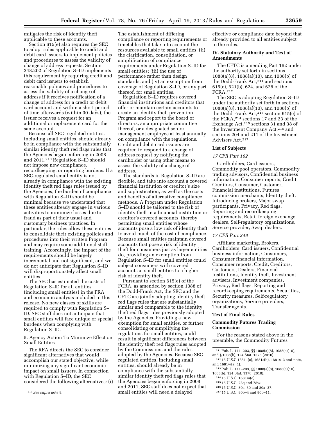mitigates the risk of identity theft applicable to these accounts.

Section 615(e) also requires the SEC to adopt rules applicable to credit and debit card issuers to implement policies and procedures to assess the validity of change of address requests. Section 248.202 of Regulation S–ID implements this requirement by requiring credit and debit card issuers to establish reasonable policies and procedures to assess the validity of a change of address if it receives notification of a change of address for a credit or debit card account and within a short period of time afterwards (within 30 days), the issuer receives a request for an additional or replacement card for the same account.

Because all SEC-regulated entities, including small entities, should already be in compliance with the substantially similar identity theft red flags rules that the Agencies began enforcing in 2008 and 2011,210 Regulation S–ID should not impose new compliance, recordkeeping, or reporting burdens. If a SEC-regulated small entity is not already in compliance with the existing identity theft red flags rules issued by the Agencies, the burden of compliance with Regulation S–ID should be minimal because we understand that these entities already engage in various activities to minimize losses due to fraud as part of their usual and customary business practices. In particular, the rules allow these entities to consolidate their existing policies and procedures into their written Program and may require some additional staff training. Accordingly, the impact of the requirements should be largely incremental and not significant, and we do not anticipate that Regulation S–ID will disproportionately affect small entities.

The SEC has estimated the costs of Regulation S–ID for all entities (including small entities) in the PRA and economic analysis included in this release. No new classes of skills are required to comply with Regulation S– ID. SEC staff does not anticipate that small entities will face unique or special burdens when complying with Regulation S–ID.

5. Agency Action To Minimize Effect on Small Entities

The RFA directs the SEC to consider significant alternatives that would accomplish our stated objective, while minimizing any significant economic impact on small issuers. In connection with Regulation S–ID, the SEC considered the following alternatives: (i)

The establishment of differing compliance or reporting requirements or timetables that take into account the resources available to small entities; (ii) the clarification, consolidation, or simplification of compliance requirements under Regulation S–ID for small entities; (iii) the use of performance rather than design standards; and (iv) an exemption from coverage of Regulation S–ID, or any part thereof, for small entities.

Regulation S–ID requires covered financial institutions and creditors that offer or maintain certain accounts to create an identity theft prevention Program and report to the board of directors, an appropriate committee thereof, or a designated senior management employee at least annually on compliance with the regulations. Credit and debit card issuers are required to respond to a change of address request by notifying the cardholder or using other means to assess the validity of a change of address.

The standards in Regulation S–ID are flexible, and take into account a covered financial institution or creditor's size and sophistication, as well as the costs and benefits of alternative compliance methods. A Program under Regulation S–ID should be tailored to the risk of identity theft in a financial institution or creditor's covered accounts, thereby permitting small entities whose accounts pose a low risk of identity theft to avoid much of the cost of compliance. Because small entities maintain covered accounts that pose a risk of identity theft for consumers just as larger entities do, providing an exemption from Regulation S–ID for small entities could subject consumers with covered accounts at small entities to a higher risk of identity theft.

Pursuant to section 615(e) of the FCRA, as amended by section 1088 of the Dodd-Frank Act, the SEC and the CFTC are jointly adopting identity theft red flags rules that are substantially similar and comparable to the identity theft red flags rules previously adopted by the Agencies. Providing a new exemption for small entities, or further consolidating or simplifying the regulations for small entities, could result in significant differences between the identity theft red flags rules adopted by the Commissions and the rules adopted by the Agencies. Because SECregulated entities, including small entities, should already be in compliance with the substantially similar identity theft red flags rules that the Agencies began enforcing in 2008 and 2011, SEC staff does not expect that small entities will need a delayed

effective or compliance date beyond that already provided to all entities subject to the rules.

# **IV. Statutory Authority and Text of Amendments**

The CFTC is amending Part 162 under the authority set forth in sections 1088(a)(8), 1088(a)(10), and 1088(b) of the Dodd-Frank Act,<sup>211</sup> and sections 615(e), 621(b), 624, and 628 of the FCRA.212

The SEC is adopting Regulation S–ID under the authority set forth in sections 1088(a)(8), 1088(a)(10), and 1088(b) of the Dodd-Frank Act,213 section 615(e) of the FCRA,<sup>214</sup> sections 17 and 23 of the Exchange Act,215 sections 31 and 38 of the Investment Company Act,<sup>216</sup> and sections 204 and 211 of the Investment Advisers Act.217

# **List of Subjects**

#### *17 CFR Part 162*

Cardholders, Card issuers, Commodity pool operators, Commodity trading advisors, Confidential business information, Consumer reports, Credit, Creditors, Consumer, Customer, Financial institutions, Futures commission merchants, Identity theft, Introducing brokers, Major swap participants, Privacy, Red flags, Reporting and recordkeeping requirements, Retail foreign exchange dealers, Self-regulatory organizations, Service provider, Swap dealers.

# *17 CFR Part 248*

Affiliate marketing, Brokers, Cardholders, Card issuers, Confidential business information, Consumers, Consumer financial information, Consumer reports, Credit, Creditors, Customers, Dealers, Financial institutions, Identity theft, Investment advisers, Investment companies, Privacy, Red flags, Reporting and recordkeeping requirements, Securities, Security measures, Self-regulatory organizations, Service providers, Transfer agents.

# **Text of Final Rules**

# **Commodity Futures Trading Commission**

For the reasons stated above in the preamble, the Commodity Futures

<sup>210</sup>*See supra* note 8.

<sup>211</sup>Pub. L. 111–203, §§ 1088(a)(8), 1088(a)(10),

and § 1088(b), 124 Stat. 1376 (2010).

<sup>212</sup> 15 U.S.C 1681–(e), 1681s(b), 1681s–3 and note, and 1681w(a)(1).

<sup>213</sup>Pub. L. 111–203, §§ 1088(a)(8), 1088(a)(10), 1088(b), 124 Stat. 1376 (2010).

<sup>214</sup> 15 U.S.C. 1681m(e).

<sup>215</sup> 15 U.S.C. 78q and 78w.

<sup>216</sup> 15 U.S.C. 80a–30 and 80a–37.

<sup>217</sup> 15 U.S.C. 80b–4 and 80b–11.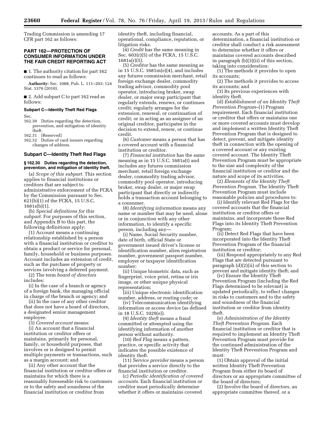Trading Commission is amending 17 CFR part 162 as follows:

# **PART 162—PROTECTION OF CONSUMER INFORMATION UNDER THE FAIR CREDIT REPORTING ACT**

■ 1. The authority citation for part 162 continues to read as follows:

**Authority:** Sec. 1088, Pub. L. 111–203; 124 Stat. 1376 (2010).

■ 2. Add subpart C to part 162 read as follows:

# **Subpart C—Identity Theft Red Flags**  Sec.

162.30 Duties regarding the detection, prevention, and mitigation of identity theft.

162.31 [Reserved]

162.32 Duties of card issuers regarding changes of address.

# **Subpart C—Identity Theft Red Flags**

### **§ 162.30 Duties regarding the detection, prevention, and mitigation of identity theft.**

(a) *Scope of this subpart.* This section applies to financial institutions or creditors that are subject to administrative enforcement of the FCRA by the Commission pursuant to Sec. 621(b)(1) of the FCRA, 15 U.S.C.  $1681s(b)(1)$ .

(b) *Special definitions for this subpart.* For purposes of this section, and Appendix B to this part, the following definitions apply:

(1) Account means a continuing relationship established by a person with a financial institution or creditor to obtain a product or service for personal, family, household or business purposes. Account includes an extension of credit, such as the purchase of property or services involving a deferred payment.

(2) The term *board of directors*  includes:

(i) In the case of a branch or agency of a foreign bank, the managing official in charge of the branch or agency; and

(ii) In the case of any other creditor that does not have a board of directors, a designated senior management employee.

(3) *Covered account* means:

(i) An account that a financial institution or creditor offers or maintains, primarily for personal, family, or household purposes, that involves or is designed to permit multiple payments or transactions, such as a margin account; and

(ii) Any other account that the financial institution or creditor offers or maintains for which there is a reasonably foreseeable risk to customers or to the safety and soundness of the financial institution or creditor from

identity theft, including financial, operational, compliance, reputation, or litigation risks.

(4) *Credit* has the same meaning in Sec. 603(r)(5) of the FCRA, 15 U.S.C. 1681a(r)(5).

(5) *Creditor* has the same meaning as in 15 U.S.C. 1681m(e)(4), and includes any futures commission merchant, retail foreign exchange dealer, commodity trading advisor, commodity pool operator, introducing broker, swap dealer, or major swap participant that regularly extends, renews, or continues credit; regularly arranges for the extension, renewal, or continuation of credit; or in acting as an assignee of an original creditor, participates in the decision to extend, renew, or continue credit.

(6) *Customer* means a person that has a covered account with a financial institution or creditor.

(7) *Financial institution* has the same meaning as in 15 U.S.C. 1681a(t) and includes any futures commission merchant, retail foreign exchange dealer, commodity trading advisor, commodity pool operator, introducing broker, swap dealer, or major swap participant that directly or indirectly holds a transaction account belonging to a consumer.

(8) *Identifying information* means any name or number that may be used, alone or in conjunction with any other information, to identify a specific person, including any—

(i) Name, Social Security number, date of birth, official State or government issued driver's license or identification number, alien registration number, government passport number, employer or taxpayer identification number;

(ii) Unique biometric data, such as fingerprint, voice print, retina or iris image, or other unique physical representation;

(iii) Unique electronic identification number, address, or routing code; or

(iv) Telecommunication identifying information or access device (as defined in 18 U.S.C. 1029(e)).

(9) *Identity theft* means a fraud committed or attempted using the identifying information of another person without authority.

(10) *Red Flag* means a pattern, practice, or specific activity that indicates the possible existence of identity theft.

(11) *Service provider* means a person that provides a service directly to the financial institution or creditor.

(c) *Periodic identification of covered accounts.* Each financial institution or creditor must periodically determine whether it offers or maintains covered

accounts. As a part of this determination, a financial institution or creditor shall conduct a risk assessment to determine whether it offers or maintains covered accounts described in paragraph (b)(3)(ii) of this section, taking into consideration:

(1) The methods it provides to open its accounts;

(2) The methods it provides to access its accounts; and

(3) Its previous experiences with identity theft.

(d) *Establishment of an Identity Theft Prevention Program*–(1) Program requirement. Each financial institution or creditor that offers or maintains one or more covered accounts must develop and implement a written Identity Theft Prevention Program that is designed to detect, prevent, and mitigate identity theft in connection with the opening of a covered account or any existing covered account. The Identity Theft Prevention Program must be appropriate to the size and complexity of the financial institution or creditor and the nature and scope of its activities.

(2) *Elements of the Identity Theft Prevention Program.* The Identity Theft Prevention Program must include reasonable policies and procedures to:

(i) Identify relevant Red Flags for the covered accounts that the financial institution or creditor offers or maintains, and incorporate those Red Flags into its Identity Theft Prevention Program;

(ii) Detect Red Flags that have been incorporated into the Identity Theft Prevention Program of the financial institution or creditor;

(iii) Respond appropriately to any Red Flags that are detected pursuant to paragraph (d)(2)(ii) of this section to prevent and mitigate identity theft; and

(iv) Ensure the Identity Theft Prevention Program (including the Red Flags determined to be relevant) is updated periodically, to reflect changes in risks to customers and to the safety and soundness of the financial institution or creditor from identity theft.

(e) *Administration of the Identity Theft Prevention Program.* Each financial institution or creditor that is required to implement an Identity Theft Prevention Program must provide for the continued administration of the Identity Theft Prevention Program and must:

(1) Obtain approval of the initial written Identity Theft Prevention Program from either its board of directors or an appropriate committee of the board of directors;

(2) Involve the board of directors, an appropriate committee thereof, or a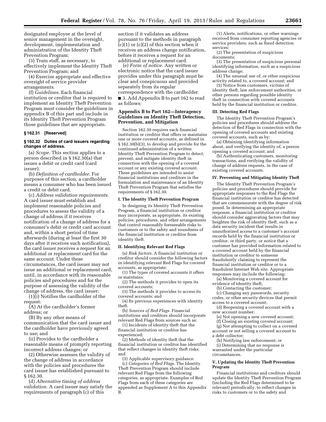designated employee at the level of senior management in the oversight, development, implementation and administration of the Identity Theft Prevention Program;

(3) Train staff, as necessary, to effectively implement the Identity Theft Prevention Program; and

(4) Exercise appropriate and effective oversight of service provider arrangements.

(f) *Guidelines.* Each financial institution or creditor that is required to implement an Identity Theft Prevention Program must consider the guidelines in appendix B of this part and include in its Identity Theft Prevention Program those guidelines that are appropriate.

#### **§ 162.31 [Reserved]**

# **§ 162.32 Duties of card issuers regarding changes of address.**

(a) *Scope.* This section applies to a person described in § 162.30(a) that issues a debit or credit card (card issuer).

(b) *Definition of cardholder.* For purposes of this section, a cardholder means a consumer who has been issued a credit or debit card.

(c) *Address validation requirements.*  A card issuer must establish and implement reasonable policies and procedures to assess the validity of a change of address if it receives notification of a change of address for a consumer's debit or credit card account and, within a short period of time afterwards (during at least the first 30 days after it receives such notification), the card issuer receives a request for an additional or replacement card for the same account. Under these circumstances, the card issuer may not issue an additional or replacement card, until, in accordance with its reasonable policies and procedures and for the purpose of assessing the validity of the change of address, the card issuer:

(1)(i) Notifies the cardholder of the request:

(A) At the cardholder's former address; or

(B) By any other means of communication that the card issuer and the cardholder have previously agreed to use; and

(ii) Provides to the cardholder a reasonable means of promptly reporting incorrect address changes; or

(2) Otherwise assesses the validity of the change of address in accordance with the policies and procedures the card issuer has established pursuant to § 162.30.

(d) *Alternative timing of address validation.* A card issuer may satisfy the requirements of paragraph (c) of this

section if it validates an address pursuant to the methods in paragraph  $(c)(1)$  or  $(c)(2)$  of this section when it receives an address change notification, before it receives a request for an additional or replacement card.

(e) *Form of notice.* Any written or electronic notice that the card issuer provides under this paragraph must be clear and conspicuous and provided separately from its regular correspondence with the cardholder.

■ 3. Add Appendix B to part 162 to read as follows:

# **Appendix B to Part 162—Interagency Guidelines on Identity Theft Detection, Prevention, and Mitigation**

Section 162.30 requires each financial institution or creditor that offers or maintains one or more covered accounts, as defined in § 162.30(b)(3), to develop and provide for the continued administration of a written Identity Theft Prevention Program to detect, prevent, and mitigate identity theft in connection with the opening of a covered account or any existing covered account. These guidelines are intended to assist financial institutions and creditors in the formulation and maintenance of an Identity Theft Prevention Program that satisfies the requirements of § 162.30.

# **I. The Identity Theft Prevention Program**

In designing its Identity Theft Prevention Program, a financial institution or creditor may incorporate, as appropriate, its existing policies, procedures, and other arrangements that control reasonably foreseeable risks to customers or to the safety and soundness of the financial institution or creditor from identity theft.

#### **II. Identifying Relevant Red Flags**

(a) *Risk factors.* A financial institution or creditor should consider the following factors in identifying relevant Red Flags for covered accounts, as appropriate:

(1) The types of covered accounts it offers or maintains;

(2) The methods it provides to open its covered accounts;

(3) The methods it provides to access its covered accounts; and

(4) Its previous experiences with identity theft.

(b) *Sources of Red Flags.* Financial institutions and creditors should incorporate relevant Red Flags from sources such as:

(1) Incidents of identity theft that the financial institution or creditor has experienced;

(2) Methods of identity theft that the financial institution or creditor has identified that reflect changes in identity theft risks; and

(3) Applicable supervisory guidance. (c) *Categories of Red Flags.* The Identity Theft Prevention Program should include relevant Red Flags from the following categories, as appropriate. Examples of Red Flags from each of these categories are appended as Supplement A to this Appendix  $\overline{B}$ .

(1) Alerts, notifications, or other warnings received from consumer reporting agencies or service providers, such as fraud detection services;

(2) The presentation of suspicious documents;

(3) The presentation of suspicious personal identifying information, such as a suspicious address change;

(4) The unusual use of, or other suspicious activity related to, a covered account; and

(5) Notice from customers, victims of identity theft, law enforcement authorities, or other persons regarding possible identity theft in connection with covered accounts held by the financial institution or creditor.

# **III. Detecting Red Flags**

The Identity Theft Prevention Program's policies and procedures should address the detection of Red Flags in connection with the opening of covered accounts and existing covered accounts, such as by:

(a) Obtaining identifying information about, and verifying the identity of, a person opening a covered account; and

(b) Authenticating customers, monitoring transactions, and verifying the validity of change of address requests, in the case of existing covered accounts.

#### **IV. Preventing and Mitigating Identity Theft**

The Identity Theft Prevention Program's policies and procedures should provide for appropriate responses to the Red Flags the financial institution or creditor has detected that are commensurate with the degree of risk posed. In determining an appropriate response, a financial institution or creditor should consider aggravating factors that may heighten the risk of identity theft, such as a data security incident that results in unauthorized access to a customer's account records held by the financial institution or creditor, or third party, or notice that a customer has provided information related to a covered account held by the financial institution or creditor to someone fraudulently claiming to represent the financial institution or creditor or to a fraudulent Internet Web site. Appropriate responses may include the following:

(a) Monitoring a covered account for evidence of identity theft;

(b) Contacting the customer;

(c) Changing any passwords, security codes, or other security devices that permit access to a covered account;

(d) Reopening a covered account with a new account number;

(e) Not opening a new covered account;

(f) Closing an existing covered account;

(g) Not attempting to collect on a covered account or not selling a covered account to a debt collector;

(h) Notifying law enforcement; or

(i) Determining that no response is warranted under the particular circumstances.

#### **V. Updating the Identity Theft Prevention Program**

Financial institutions and creditors should update the Identity Theft Prevention Program (including the Red Flags determined to be relevant) periodically, to reflect changes in risks to customers or to the safety and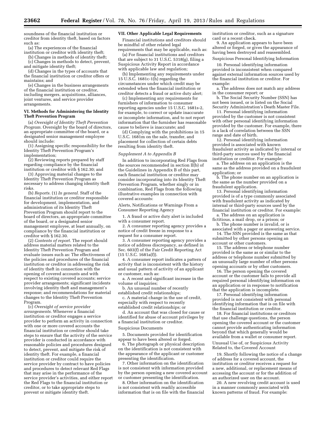soundness of the financial institution or creditor from identity theft, based on factors such as:

(a) The experiences of the financial institution or creditor with identity theft;

(b) Changes in methods of identity theft; (c) Changes in methods to detect, prevent,

and mitigate identity theft; (d) Changes in the types of accounts that the financial institution or creditor offers or maintains; and

(e) Changes in the business arrangements of the financial institution or creditor, including mergers, acquisitions, alliances, joint ventures, and service provider arrangements.

### **VI. Methods for Administering the Identity Theft Prevention Program**

(a) *Oversight of Identity Theft Prevention Program.* Oversight by the board of directors, an appropriate committee of the board, or a designated senior management employee should include:

(1) Assigning specific responsibility for the Identity Theft Prevention Program's implementation;

(2) Reviewing reports prepared by staff regarding compliance by the financial institution or creditor with § 162.30; and

(3) Approving material changes to the Identity Theft Prevention Program as necessary to address changing identity theft risks.

(b) *Reports.* (1) *In general.* Staff of the financial institution or creditor responsible for development, implementation, and administration of its Identity Theft Prevention Program should report to the board of directors, an appropriate committee of the board, or a designated senior management employee, at least annually, on compliance by the financial institution or creditor with § 162.30.

(2) *Contents of report.* The report should address material matters related to the Identity Theft Prevention Program and evaluate issues such as: The effectiveness of the policies and procedures of the financial institution or creditor in addressing the risk of identity theft in connection with the opening of covered accounts and with respect to existing covered accounts; service provider arrangements; significant incidents involving identity theft and management's response; and recommendations for material changes to the Identity Theft Prevention Program.

(c) *Oversight of service provider arrangements.* Whenever a financial institution or creditor engages a service provider to perform an activity in connection with one or more covered accounts the financial institution or creditor should take steps to ensure that the activity of the service provider is conducted in accordance with reasonable policies and procedures designed to detect, prevent, and mitigate the risk of identity theft. For example, a financial institution or creditor could require the service provider by contract to have policies and procedures to detect relevant Red Flags that may arise in the performance of the service provider's activities, and either report the Red Flags to the financial institution or creditor, or to take appropriate steps to prevent or mitigate identity theft.

#### **VII. Other Applicable Legal Requirements**

Financial institutions and creditors should be mindful of other related legal requirements that may be applicable, such as:

(a) For financial institutions and creditors that are subject to 31 U.S.C. 5318(g), filing a Suspicious Activity Report in accordance with applicable law and regulation;

(b) Implementing any requirements under 15 U.S.C. 1681c-1(h) regarding the circumstances under which credit may be extended when the financial institution or creditor detects a fraud or active duty alert;

(c) Implementing any requirements for furnishers of information to consumer reporting agencies under 15 U.S.C. 1681s-2, for example, to correct or update inaccurate or incomplete information, and to not report information that the furnisher has reasonable cause to believe is inaccurate; and

(d) Complying with the prohibitions in 15 U.S.C. 1681m on the sale, transfer, and placement for collection of certain debts resulting from identity theft.

#### *Supplement A to Appendix B*

In addition to incorporating Red Flags from the sources recommended in section II(b) of the Guidelines in Appendix B of this part, each financial institution or creditor may consider incorporating into its Identity Theft Prevention Program, whether singly or in combination, Red Flags from the following illustrative examples in connection with covered accounts:

Alerts, Notifications or Warnings From a Consumer Reporting Agency

1. A fraud or active duty alert is included with a consumer report.

2. A consumer reporting agency provides a notice of credit freeze in response to a request for a consumer report.

3. A consumer reporting agency provides a notice of address discrepancy, as defined in Sec. 603(f) of the Fair Credit Reporting Act (15 U.S.C. 1681a(f)).

4. A consumer report indicates a pattern of activity that is inconsistent with the history and usual pattern of activity of an applicant or customer, such as:

a. A recent and significant increase in the volume of inquiries;

b. An unusual number of recently established credit relationships;

c. A material change in the use of credit, especially with respect to recently established credit relationships; or

d. An account that was closed for cause or identified for abuse of account privileges by a financial institution or creditor.

#### Suspicious Documents

5. Documents provided for identification appear to have been altered or forged.

6. The photograph or physical description on the identification is not consistent with the appearance of the applicant or customer presenting the identification.

7. Other information on the identification is not consistent with information provided by the person opening a new covered account or customer presenting the identification.

8. Other information on the identification is not consistent with readily accessible information that is on file with the financial institution or creditor, such as a signature card or a recent check.

9. An application appears to have been altered or forged, or gives the appearance of having been destroyed and reassembled. Suspicious Personal Identifying Information

10. Personal identifying information provided is inconsistent when compared against external information sources used by the financial institution or creditor. For example:

a. The address does not match any address in the consumer report; or

b. The Social Security Number (SSN) has not been issued, or is listed on the Social Security Administration's Death Master File.

11. Personal identifying information provided by the customer is not consistent with other personal identifying information provided by the customer. For example, there is a lack of correlation between the SSN range and date of birth.

12. Personal identifying information provided is associated with known fraudulent activity as indicated by internal or third-party sources used by the financial institution or creditor. For example:

a. The address on an application is the same as the address provided on a fraudulent application; or

b. The phone number on an application is the same as the number provided on a fraudulent application.

13. Personal identifying information provided is of a type commonly associated with fraudulent activity as indicated by internal or third-party sources used by the financial institution or creditor. For example:

a. The address on an application is fictitious, a mail drop, or a prison; or

b. The phone number is invalid, or is associated with a pager or answering service. 14. The SSN provided is the same as that

submitted by other persons opening an account or other customers.

15. The address or telephone number provided is the same as or similar to the address or telephone number submitted by an unusually large number of other persons opening accounts or by other customers.

16. The person opening the covered account or the customer fails to provide all required personal identifying information on an application or in response to notification that the application is incomplete.

17. Personal identifying information provided is not consistent with personal identifying information that is on file with the financial institution or creditor.

18. For financial institutions or creditors that use challenge questions, the person opening the covered account or the customer cannot provide authenticating information beyond that which generally would be available from a wallet or consumer report. Unusual Use of, or Suspicious Activity Related to, the Covered Account

19. Shortly following the notice of a change of address for a covered account, the institution or creditor receives a request for a new, additional, or replacement means of accessing the account or for the addition of an authorized user on the account.

20. A new revolving credit account is used in a manner commonly associated with known patterns of fraud. For example: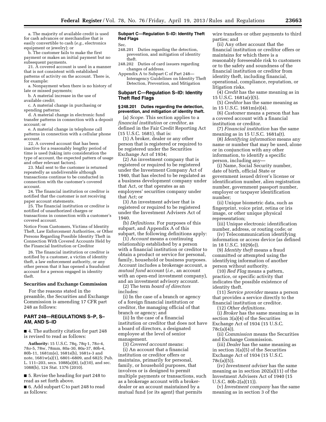a. The majority of available credit is used for cash advances or merchandise that is easily convertible to cash (*e.g.,* electronics equipment or jewelry); or

b. The customer fails to make the first payment or makes an initial payment but no subsequent payments.

21. A covered account is used in a manner that is not consistent with established patterns of activity on the account. There is, for example:

a. Nonpayment when there is no history of late or missed payments;

b. A material increase in the use of available credit;

c. A material change in purchasing or spending patterns;

d. A material change in electronic fund transfer patterns in connection with a deposit account; or

e. A material change in telephone call patterns in connection with a cellular phone account.

22. A covered account that has been inactive for a reasonably lengthy period of time is used (taking into consideration the type of account, the expected pattern of usage and other relevant factors).

23. Mail sent to the customer is returned repeatedly as undeliverable although transactions continue to be conducted in connection with the customer's covered account.

24. The financial institution or creditor is notified that the customer is not receiving paper account statements.

25. The financial institution or creditor is notified of unauthorized charges or transactions in connection with a customer's covered account.

Notice From Customers, Victims of Identity Theft, Law Enforcement Authorities, or Other Persons Regarding Possible Identity Theft in Connection With Covered Accounts Held by the Financial Institution or Creditor

26. The financial institution or creditor is notified by a customer, a victim of identity theft, a law enforcement authority, or any other person that it has opened a fraudulent account for a person engaged in identity theft.

# **Securities and Exchange Commission**

For the reasons stated in the preamble, the Securities and Exchange Commission is amending 17 CFR part 248 as follows:

# **PART 248—REGULATIONS S–P, S– AM, AND S–ID**

■ 4. The authority citation for part 248 is revised to read as follows:

**Authority:** 15 U.S.C. 78q, 78q-1, 78*o-*4, 78*o-*5, 78w, 78mm, 80a-30, 80a-37, 80b-4, 80b-11, 1681m(e), 1681s(b), 1681s-3 and note, 1681w(a)(1), 6801–6809, and 6825; Pub. L. 111–203, secs. 1088(a)(8), (a)(10), and sec. 1088(b), 124 Stat. 1376 (2010).

■ 5. Revise the heading for part 248 to read as set forth above.

■ 6. Add subpart C to part 248 to read as follows:

# **Subpart C—Regulation S–ID: Identity Theft Red Flags**

Sec.

- 248.201 Duties regarding the detection, prevention, and mitigation of identity theft.
- 248.202 Duties of card issuers regarding changes of address.

Appendix A to Subpart C of Part 248— Interagency Guidelines on Identity Theft Detection, Prevention, and Mitigation

# **Subpart C—Regulation S–ID: Identity Theft Red Flags**

### **§ 248.201 Duties regarding the detection, prevention, and mitigation of identity theft.**

(a) *Scope.* This section applies to a *financial institution* or *creditor,* as defined in the Fair Credit Reporting Act (15 U.S.C. 1681), that is:

(1) A broker, dealer or any other person that is registered or required to be registered under the Securities Exchange Act of 1934;

(2) An investment company that is registered or required to be registered under the Investment Company Act of 1940, that has elected to be regulated as a business development company under that Act, or that operates as an employees' securities company under that Act; or

(3) An investment adviser that is registered or required to be registered under the Investment Advisers Act of 1940.

(b) *Definitions.* For purposes of this subpart, and Appendix A of this subpart, the following definitions apply:

(1) *Account* means a continuing relationship established by a person with a financial institution or creditor to obtain a product or service for personal, family, household or business purposes. Account includes a brokerage account, a *mutual fund* account (*i.e.,* an account with an open-end investment company), and an investment advisory account.

(2) The term *board of directors*  includes:

(i) In the case of a branch or agency of a foreign financial institution or creditor, the managing official of that branch or agency; and

(ii) In the case of a financial institution or creditor that does not have a board of directors, a designated employee at the level of senior management.

(3) *Covered account* means: (i) An account that a financial institution or creditor offers or maintains, primarily for personal, family, or household purposes, that involves or is designed to permit multiple payments or transactions, such as a brokerage account with a brokerdealer or an account maintained by a mutual fund (or its agent) that permits

wire transfers or other payments to third parties; and

(ii) Any other account that the financial institution or creditor offers or maintains for which there is a reasonably foreseeable risk to customers or to the safety and soundness of the financial institution or creditor from identity theft, including financial, operational, compliance, reputation, or litigation risks.

(4) *Credit* has the same meaning as in 15 U.S.C. 1681a(r)(5).

(5) *Creditor* has the same meaning as in 15 U.S.C. 1681m(e)(4).

(6) *Customer* means a person that has a covered account with a financial institution or creditor.

(7) *Financial institution* has the same meaning as in 15 U.S.C. 1681a(t).

(8) *Identifying information* means any name or number that may be used, alone or in conjunction with any other information, to identify a specific person, including any—

(i) Name, Social Security number, date of birth, official State or government issued driver's license or identification number, alien registration number, government passport number, employer or taxpayer identification number;

(ii) Unique biometric data, such as fingerprint, voice print, retina or iris image, or other unique physical representation;

(iii) Unique electronic identification number, address, or routing code; or

(iv) Telecommunication identifying information or access device (as defined in 18 U.S.C. 1029(e)).

(9) *Identity theft* means a fraud committed or attempted using the identifying information of another person without authority.

(10) *Red Flag* means a pattern, practice, or specific activity that indicates the possible existence of identity theft.

(11) *Service provider* means a person that provides a service directly to the financial institution or creditor.

(12) *Other definitions.* 

(i) *Broker* has the same meaning as in section 3(a)(4) of the Securities Exchange Act of 1934 (15 U.S.C. 78c(a)(4)).

(ii) *Commission* means the Securities and Exchange Commission.

(iii) *Dealer* has the same meaning as in section 3(a)(5) of the Securities Exchange Act of 1934 (15 U.S.C. 78c(a)(5)).

(iv) *Investment adviser* has the same meaning as in section 202(a)(11) of the Investment Advisers Act of 1940 (15 U.S.C. 80b-2(a)(11)).

(v) *Investment company* has the same meaning as in section 3 of the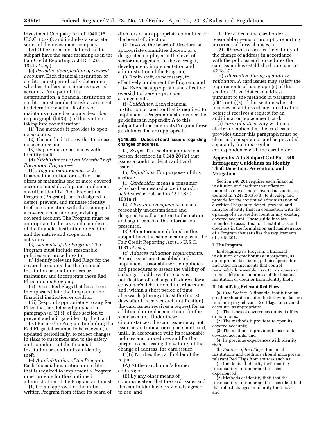Investment Company Act of 1940 (15 U.S.C. 80a-3), and includes a separate series of the investment company.

(vi) Other terms not defined in this subpart have the same meaning as in the Fair Credit Reporting Act (15 U.S.C. 1681 *et seq.*).

(c) *Periodic identification of covered accounts.* Each financial institution or creditor must periodically determine whether it offers or maintains covered accounts. As a part of this determination, a financial institution or creditor must conduct a risk assessment to determine whether it offers or maintains covered accounts described in paragraph (b)(3)(ii) of this section, taking into consideration:

(1) The methods it provides to open its accounts;

(2) The methods it provides to access its accounts; and

(3) Its previous experiences with identity theft.

(d) *Establishment of an Identity Theft Prevention Program*—

(1) *Program requirement.* Each financial institution or creditor that offers or maintains one or more covered accounts must develop and implement a written Identity Theft Prevention Program (Program) that is designed to detect, prevent, and mitigate identity theft in connection with the opening of a covered account or any existing covered account. The Program must be appropriate to the size and complexity of the financial institution or creditor and the nature and scope of its activities.

(2) *Elements of the Program.* The Program must include reasonable policies and procedures to:

(i) Identify relevant Red Flags for the covered accounts that the financial institution or creditor offers or maintains, and incorporate those Red Flags into its Program;

(ii) Detect Red Flags that have been incorporated into the Program of the financial institution or creditor;

(iii) Respond appropriately to any Red Flags that are detected pursuant to paragraph (d)(2)(ii) of this section to prevent and mitigate identity theft; and

(iv) Ensure the Program (including the Red Flags determined to be relevant) is updated periodically, to reflect changes in risks to customers and to the safety and soundness of the financial institution or creditor from identity theft.

(e) *Administration of the Program.*  Each financial institution or creditor that is required to implement a Program must provide for the continued administration of the Program and must:

(1) Obtain approval of the initial written Program from either its board of directors or an appropriate committee of the board of directors;

(2) Involve the board of directors, an appropriate committee thereof, or a designated employee at the level of senior management in the oversight, development, implementation and administration of the Program;

(3) Train staff, as necessary, to effectively implement the Program; and

(4) Exercise appropriate and effective oversight of service provider arrangements.

(f) *Guidelines.* Each financial institution or creditor that is required to implement a Program must consider the guidelines in Appendix A to this subpart and include in its Program those guidelines that are appropriate.

# **§ 248.202 Duties of card issuers regarding changes of address.**

(a) *Scope.* This section applies to a person described in § 248.201(a) that issues a credit or debit card (card issuer).

(b) *Definitions.* For purposes of this section:

(1) *Cardholder* means a consumer who has been issued a *credit card* or *debit card* as defined in 15 U.S.C. 1681a(r).

(2) *Clear and conspicuous* means reasonably understandable and designed to call attention to the nature and significance of the information presented.

(3) Other terms not defined in this subpart have the same meaning as in the Fair Credit Reporting Act (15 U.S.C. 1681 *et seq.*).

(c) *Address validation requirements.*  A card issuer must establish and implement reasonable written policies and procedures to assess the validity of a change of address if it receives notification of a change of address for a consumer's debit or credit card account and, within a short period of time afterwards (during at least the first 30 days after it receives such notification), the card issuer receives a request for an additional or replacement card for the same account. Under these circumstances, the card issuer may not issue an additional or replacement card, until, in accordance with its reasonable policies and procedures and for the purpose of assessing the validity of the change of address, the card issuer:

(1)(i) Notifies the cardholder of the request:

(A) At the cardholder's former address; or

(B) By any other means of communication that the card issuer and the cardholder have previously agreed to use; and

(ii) Provides to the cardholder a reasonable means of promptly reporting incorrect address changes; or

(2) Otherwise assesses the validity of the change of address in accordance with the policies and procedures the card issuer has established pursuant to § 248.201.

(d) *Alternative timing of address validation.* A card issuer may satisfy the requirements of paragraph (c) of this section if it validates an address pursuant to the methods in paragraph  $(c)(1)$  or  $(c)(2)$  of this section when it receives an address change notification, before it receives a request for an additional or replacement card.

(e) *Form of notice.* Any written or electronic notice that the card issuer provides under this paragraph must be clear and conspicuous and be provided separately from its regular correspondence with the cardholder.

# **Appendix A to Subpart C of Part 248— Interagency Guidelines on Identity Theft Detection, Prevention, and Mitigation**

Section 248.201 requires each financial institution and creditor that offers or maintains one or more covered accounts, as defined in § 248.201(b)(3), to develop and provide for the continued administration of a written Program to detect, prevent, and mitigate identity theft in connection with the opening of a covered account or any existing covered account. These guidelines are intended to assist financial institutions and creditors in the formulation and maintenance of a Program that satisfies the requirements of § 248.201.

#### **I. The Program**

In designing its Program, a financial institution or creditor may incorporate, as appropriate, its existing policies, procedures, and other arrangements that control reasonably foreseeable risks to customers or to the safety and soundness of the financial institution or creditor from identity theft.

### **II. Identifying Relevant Red Flags**

(a) *Risk Factors.* A financial institution or creditor should consider the following factors in identifying relevant Red Flags for covered accounts, as appropriate:

(1) The types of covered accounts it offers or maintains;

(2) The methods it provides to open its covered accounts;

(3) The methods it provides to access its covered accounts; and

(4) Its previous experiences with identity theft.

(b) *Sources of Red Flags.* Financial institutions and creditors should incorporate relevant Red Flags from sources such as:

(1) Incidents of identity theft that the financial institution or creditor has experienced;

(2) Methods of identity theft that the financial institution or creditor has identified that reflect changes in identity theft risks; and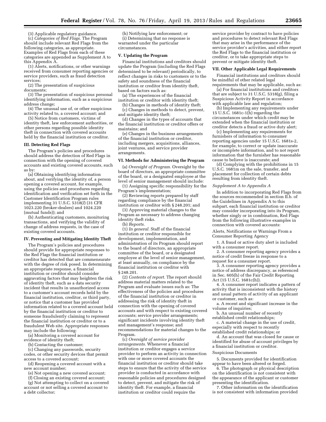(3) Applicable regulatory guidance.

(c) *Categories of Red Flags.* The Program should include relevant Red Flags from the following categories, as appropriate. Examples of Red Flags from each of these categories are appended as Supplement A to this Appendix A.

(1) Alerts, notifications, or other warnings received from consumer reporting agencies or service providers, such as fraud detection services;

(2) The presentation of suspicious documents;

(3) The presentation of suspicious personal identifying information, such as a suspicious address change;

(4) The unusual use of, or other suspicious activity related to, a covered account; and

(5) Notice from customers, victims of identity theft, law enforcement authorities, or other persons regarding possible identity theft in connection with covered accounts held by the financial institution or creditor.

#### **III. Detecting Red Flags**

The Program's policies and procedures should address the detection of Red Flags in connection with the opening of covered accounts and existing covered accounts, such as by:

(a) Obtaining identifying information about, and verifying the identity of, a person opening a covered account, for example, using the policies and procedures regarding identification and verification set forth in the Customer Identification Program rules implementing 31 U.S.C. 5318(*l*) (31 CFR 1023.220 (broker-dealers) and 1024.220 (mutual funds)); and

(b) Authenticating customers, monitoring transactions, and verifying the validity of change of address requests, in the case of existing covered accounts.

#### **IV. Preventing and Mitigating Identity Theft**

The Program's policies and procedures should provide for appropriate responses to the Red Flags the financial institution or creditor has detected that are commensurate with the degree of risk posed. In determining an appropriate response, a financial institution or creditor should consider aggravating factors that may heighten the risk of identity theft, such as a data security incident that results in unauthorized access to a customer's account records held by the financial institution, creditor, or third party, or notice that a customer has provided information related to a covered account held by the financial institution or creditor to someone fraudulently claiming to represent the financial institution or creditor or to a fraudulent Web site. Appropriate responses may include the following:

(a) Monitoring a covered account for evidence of identity theft;

(b) Contacting the customer;

(c) Changing any passwords, security codes, or other security devices that permit access to a covered account;

(d) Reopening a covered account with a new account number;

(e) Not opening a new covered account;

(f) Closing an existing covered account; (g) Not attempting to collect on a covered

account or not selling a covered account to a debt collector;

(h) Notifying law enforcement; or (i) Determining that no response is warranted under the particular circumstances.

# **V. Updating the Program**

Financial institutions and creditors should update the Program (including the Red Flags determined to be relevant) periodically, to reflect changes in risks to customers or to the safety and soundness of the financial institution or creditor from identity theft, based on factors such as:

(a) The experiences of the financial institution or creditor with identity theft;

(b) Changes in methods of identity theft; (c) Changes in methods to detect, prevent, and mitigate identity theft;

(d) Changes in the types of accounts that the financial institution or creditor offers or maintains; and

(e) Changes in the business arrangements of the financial institution or creditor, including mergers, acquisitions, alliances, joint ventures, and service provider arrangements.

# **VI. Methods for Administering the Program**

(a) *Oversight of Program.* Oversight by the board of directors, an appropriate committee of the board, or a designated employee at the level of senior management should include:

(1) Assigning specific responsibility for the Program's implementation;

(2) Reviewing reports prepared by staff regarding compliance by the financial institution or creditor with § 248.201; and

(3) Approving material changes to the Program as necessary to address changing identity theft risks.

(b) *Reports.* 

(1) *In general.* Staff of the financial institution or creditor responsible for development, implementation, and administration of its Program should report to the board of directors, an appropriate committee of the board, or a designated employee at the level of senior management, at least annually, on compliance by the financial institution or creditor with § 248.201.

(2) *Contents of report.* The report should address material matters related to the Program and evaluate issues such as: The effectiveness of the policies and procedures of the financial institution or creditor in addressing the risk of identity theft in connection with the opening of covered accounts and with respect to existing covered accounts; service provider arrangements; significant incidents involving identity theft and management's response; and recommendations for material changes to the Program.

(c) *Oversight of service provider arrangements.* Whenever a financial institution or creditor engages a service provider to perform an activity in connection with one or more covered accounts the financial institution or creditor should take steps to ensure that the activity of the service provider is conducted in accordance with reasonable policies and procedures designed to detect, prevent, and mitigate the risk of identity theft. For example, a financial institution or creditor could require the

service provider by contract to have policies and procedures to detect relevant Red Flags that may arise in the performance of the service provider's activities, and either report the Red Flags to the financial institution or creditor, or to take appropriate steps to prevent or mitigate identity theft.

#### **VII. Other Applicable Legal Requirements**

Financial institutions and creditors should be mindful of other related legal requirements that may be applicable, such as:

(a) For financial institutions and creditors that are subject to 31 U.S.C. 5318(g), filing a Suspicious Activity Report in accordance with applicable law and regulation;

(b) Implementing any requirements under 15 U.S.C. 1681c-1(h) regarding the circumstances under which credit may be extended when the financial institution or creditor detects a fraud or active duty alert;

(c) Implementing any requirements for furnishers of information to consumer reporting agencies under 15 U.S.C. 1681s-2, for example, to correct or update inaccurate or incomplete information, and to not report information that the furnisher has reasonable cause to believe is inaccurate; and

(d) Complying with the prohibitions in 15 U.S.C. 1681m on the sale, transfer, and placement for collection of certain debts resulting from identity theft.

#### *Supplement A to Appendix A*

In addition to incorporating Red Flags from the sources recommended in section II.b. of the Guidelines in Appendix A to this subpart, each financial institution or creditor may consider incorporating into its Program, whether singly or in combination, Red Flags from the following illustrative examples in connection with covered accounts:

Alerts, Notifications or Warnings From a Consumer Reporting Agency

1. A fraud or active duty alert is included with a consumer report.

2. A consumer reporting agency provides a notice of credit freeze in response to a request for a consumer report.

3. A consumer reporting agency provides a notice of address discrepancy, as referenced in Sec. 605(h) of the Fair Credit Reporting Act (15 U.S.C. 1681c(h)).

4. A consumer report indicates a pattern of activity that is inconsistent with the history and usual pattern of activity of an applicant or customer, such as:

a. A recent and significant increase in the volume of inquiries;

b. An unusual number of recently established credit relationships;

c. A material change in the use of credit, especially with respect to recently established credit relationships; or

d. An account that was closed for cause or identified for abuse of account privileges by a financial institution or creditor.

#### Suspicious Documents

5. Documents provided for identification appear to have been altered or forged.

6. The photograph or physical description on the identification is not consistent with the appearance of the applicant or customer presenting the identification.

7. Other information on the identification is not consistent with information provided